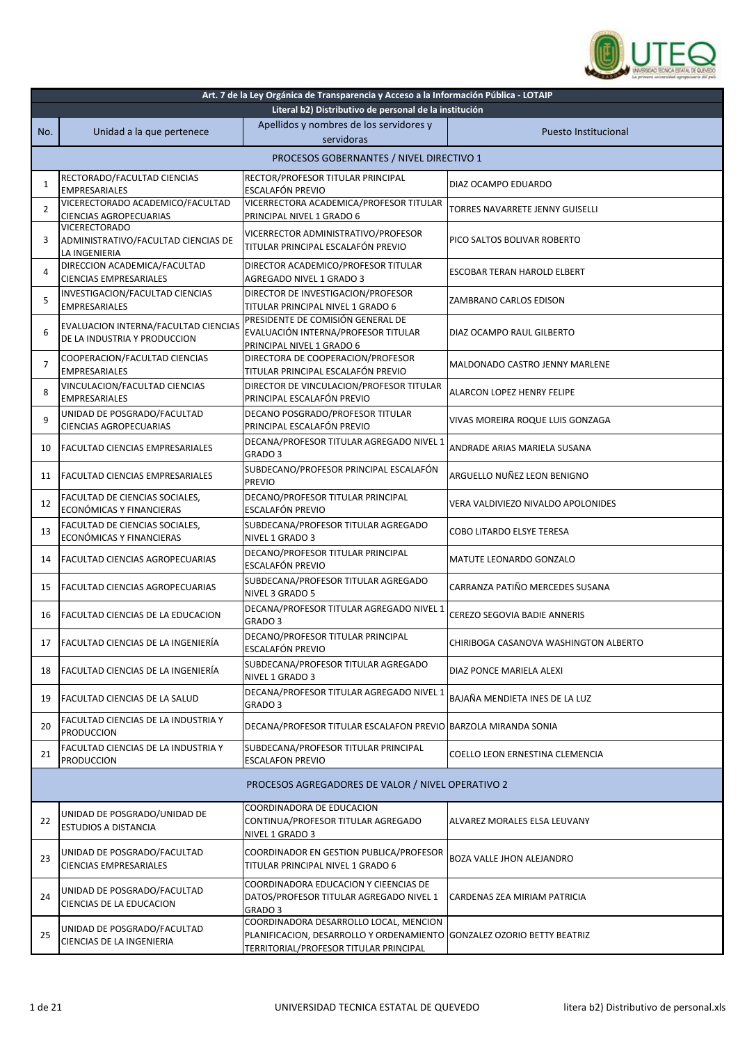

| Art. 7 de la Ley Orgánica de Transparencia y Acceso a la Información Pública - LOTAIP |                                                                              |                                                                                                                              |                                       |  |
|---------------------------------------------------------------------------------------|------------------------------------------------------------------------------|------------------------------------------------------------------------------------------------------------------------------|---------------------------------------|--|
|                                                                                       | Literal b2) Distributivo de personal de la institución                       |                                                                                                                              |                                       |  |
| No.                                                                                   | Unidad a la que pertenece                                                    | Apellidos y nombres de los servidores y<br>servidoras                                                                        | Puesto Institucional                  |  |
|                                                                                       |                                                                              | PROCESOS GOBERNANTES / NIVEL DIRECTIVO 1                                                                                     |                                       |  |
| 1                                                                                     | RECTORADO/FACULTAD CIENCIAS<br><b>EMPRESARIALES</b>                          | RECTOR/PROFESOR TITULAR PRINCIPAL<br>ESCALAFÓN PREVIO                                                                        | DIAZ OCAMPO EDUARDO                   |  |
| 2                                                                                     | VICERECTORADO ACADEMICO/FACULTAD<br><b>CIENCIAS AGROPECUARIAS</b>            | VICERRECTORA ACADEMICA/PROFESOR TITULAR<br>PRINCIPAL NIVEL 1 GRADO 6                                                         | TORRES NAVARRETE JENNY GUISELLI       |  |
| 3                                                                                     | <b>VICERECTORADO</b><br>ADMINISTRATIVO/FACULTAD CIENCIAS DE<br>LA INGENIERIA | VICERRECTOR ADMINISTRATIVO/PROFESOR<br>TITULAR PRINCIPAL ESCALAFÓN PREVIO                                                    | PICO SALTOS BOLIVAR ROBERTO           |  |
| 4                                                                                     | DIRECCION ACADEMICA/FACULTAD<br><b>CIENCIAS EMPRESARIALES</b>                | DIRECTOR ACADEMICO/PROFESOR TITULAR<br>AGREGADO NIVEL 1 GRADO 3                                                              | <b>ESCOBAR TERAN HAROLD ELBERT</b>    |  |
| 5                                                                                     | INVESTIGACION/FACULTAD CIENCIAS<br><b>EMPRESARIALES</b>                      | DIRECTOR DE INVESTIGACION/PROFESOR<br>TITULAR PRINCIPAL NIVEL 1 GRADO 6                                                      | ZAMBRANO CARLOS EDISON                |  |
| 6                                                                                     | EVALUACION INTERNA/FACULTAD CIENCIAS<br>DE LA INDUSTRIA Y PRODUCCION         | PRESIDENTE DE COMISIÓN GENERAL DE<br>EVALUACIÓN INTERNA/PROFESOR TITULAR<br>PRINCIPAL NIVEL 1 GRADO 6                        | DIAZ OCAMPO RAUL GILBERTO             |  |
| $\overline{7}$                                                                        | COOPERACION/FACULTAD CIENCIAS<br><b>EMPRESARIALES</b>                        | DIRECTORA DE COOPERACION/PROFESOR<br>TITULAR PRINCIPAL ESCALAFÓN PREVIO                                                      | MALDONADO CASTRO JENNY MARLENE        |  |
| 8                                                                                     | VINCULACION/FACULTAD CIENCIAS<br><b>EMPRESARIALES</b>                        | DIRECTOR DE VINCULACION/PROFESOR TITULAR<br>PRINCIPAL ESCALAFÓN PREVIO                                                       | ALARCON LOPEZ HENRY FELIPE            |  |
| 9                                                                                     | UNIDAD DE POSGRADO/FACULTAD<br><b>CIENCIAS AGROPECUARIAS</b>                 | DECANO POSGRADO/PROFESOR TITULAR<br>PRINCIPAL ESCALAFÓN PREVIO                                                               | VIVAS MOREIRA ROQUE LUIS GONZAGA      |  |
| 10                                                                                    | <b>FACULTAD CIENCIAS EMPRESARIALES</b>                                       | DECANA/PROFESOR TITULAR AGREGADO NIVEL 1<br>GRADO <sub>3</sub>                                                               | ANDRADE ARIAS MARIELA SUSANA          |  |
| 11                                                                                    | FACULTAD CIENCIAS EMPRESARIALES                                              | SUBDECANO/PROFESOR PRINCIPAL ESCALAFÓN<br><b>PREVIO</b>                                                                      | ARGUELLO NUÑEZ LEON BENIGNO           |  |
| 12                                                                                    | FACULTAD DE CIENCIAS SOCIALES,<br>ECONÓMICAS Y FINANCIERAS                   | DECANO/PROFESOR TITULAR PRINCIPAL<br>ESCALAFÓN PREVIO                                                                        | VERA VALDIVIEZO NIVALDO APOLONIDES    |  |
| 13                                                                                    | FACULTAD DE CIENCIAS SOCIALES,<br>ECONÓMICAS Y FINANCIERAS                   | SUBDECANA/PROFESOR TITULAR AGREGADO<br>NIVEL 1 GRADO 3                                                                       | COBO LITARDO ELSYE TERESA             |  |
| 14                                                                                    | FACULTAD CIENCIAS AGROPECUARIAS                                              | DECANO/PROFESOR TITULAR PRINCIPAL<br>ESCALAFÓN PREVIO                                                                        | <b>MATUTE LEONARDO GONZALO</b>        |  |
| 15                                                                                    | FACULTAD CIENCIAS AGROPECUARIAS                                              | SUBDECANA/PROFESOR TITULAR AGREGADO<br>NIVEL 3 GRADO 5                                                                       | CARRANZA PATIÑO MERCEDES SUSANA       |  |
| 16                                                                                    | FACULTAD CIENCIAS DE LA EDUCACION                                            | DECANA/PROFESOR TITULAR AGREGADO NIVEL 1<br>GRADO <sub>3</sub>                                                               | CEREZO SEGOVIA BADIE ANNERIS          |  |
| 17                                                                                    | <b>FACULTAD CIENCIAS DE LA INGENIERÍA</b>                                    | DECANO/PROFESOR TITULAR PRINCIPAL<br>ESCALAFÓN PREVIO                                                                        | CHIRIBOGA CASANOVA WASHINGTON ALBERTO |  |
| 18                                                                                    | <b>FACULTAD CIENCIAS DE LA INGENIERÍA</b>                                    | SUBDECANA/PROFESOR TITULAR AGREGADO<br>NIVEL 1 GRADO 3                                                                       | DIAZ PONCE MARIELA ALEXI              |  |
| 19                                                                                    | FACULTAD CIENCIAS DE LA SALUD                                                | DECANA/PROFESOR TITULAR AGREGADO NIVEL 1<br>GRADO 3                                                                          | BAJAÑA MENDIETA INES DE LA LUZ        |  |
| 20                                                                                    | FACULTAD CIENCIAS DE LA INDUSTRIA Y<br>PRODUCCION                            | DECANA/PROFESOR TITULAR ESCALAFON PREVIO BARZOLA MIRANDA SONIA                                                               |                                       |  |
| 21                                                                                    | FACULTAD CIENCIAS DE LA INDUSTRIA Y<br><b>PRODUCCION</b>                     | SUBDECANA/PROFESOR TITULAR PRINCIPAL<br><b>ESCALAFON PREVIO</b>                                                              | COELLO LEON ERNESTINA CLEMENCIA       |  |
|                                                                                       | PROCESOS AGREGADORES DE VALOR / NIVEL OPERATIVO 2                            |                                                                                                                              |                                       |  |
| 22                                                                                    | UNIDAD DE POSGRADO/UNIDAD DE<br><b>ESTUDIOS A DISTANCIA</b>                  | COORDINADORA DE EDUCACION<br>CONTINUA/PROFESOR TITULAR AGREGADO<br>NIVEL 1 GRADO 3                                           | ALVAREZ MORALES ELSA LEUVANY          |  |
| 23                                                                                    | UNIDAD DE POSGRADO/FACULTAD<br><b>CIENCIAS EMPRESARIALES</b>                 | COORDINADOR EN GESTION PUBLICA/PROFESOR<br>TITULAR PRINCIPAL NIVEL 1 GRADO 6                                                 | BOZA VALLE JHON ALEJANDRO             |  |
| 24                                                                                    | UNIDAD DE POSGRADO/FACULTAD<br>CIENCIAS DE LA EDUCACION                      | COORDINADORA EDUCACION Y CIEENCIAS DE<br>DATOS/PROFESOR TITULAR AGREGADO NIVEL 1<br>GRADO 3                                  | CARDENAS ZEA MIRIAM PATRICIA          |  |
| 25                                                                                    | UNIDAD DE POSGRADO/FACULTAD<br>CIENCIAS DE LA INGENIERIA                     | COORDINADORA DESARROLLO LOCAL, MENCION<br>PLANIFICACION, DESARROLLO Y ORDENAMIENTO<br>TERRITORIAL/PROFESOR TITULAR PRINCIPAL | <b>GONZALEZ OZORIO BETTY BEATRIZ</b>  |  |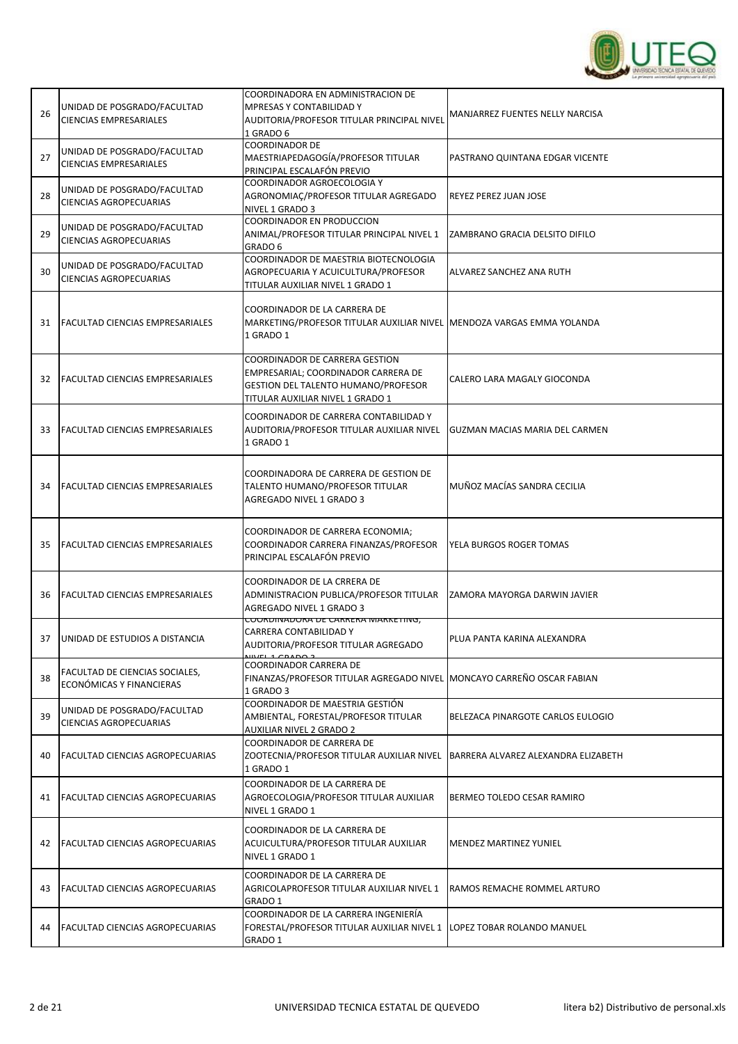

| 26 | UNIDAD DE POSGRADO/FACULTAD<br><b>CIENCIAS EMPRESARIALES</b> | COORDINADORA EN ADMINISTRACION DE<br>MPRESAS Y CONTABILIDAD Y<br>AUDITORIA/PROFESOR TITULAR PRINCIPAL NIVEL<br>1 GRADO 6                                | MANJARREZ FUENTES NELLY NARCISA       |
|----|--------------------------------------------------------------|---------------------------------------------------------------------------------------------------------------------------------------------------------|---------------------------------------|
| 27 | UNIDAD DE POSGRADO/FACULTAD<br><b>CIENCIAS EMPRESARIALES</b> | <b>COORDINADOR DE</b><br>MAESTRIAPEDAGOGÍA/PROFESOR TITULAR<br>PRINCIPAL ESCALAFÓN PREVIO                                                               | PASTRANO QUINTANA EDGAR VICENTE       |
| 28 | UNIDAD DE POSGRADO/FACULTAD<br>CIENCIAS AGROPECUARIAS        | COORDINADOR AGROECOLOGIA Y<br>AGRONOMIAÇ/PROFESOR TITULAR AGREGADO<br>NIVEL 1 GRADO 3                                                                   | REYEZ PEREZ JUAN JOSE                 |
| 29 | UNIDAD DE POSGRADO/FACULTAD<br>CIENCIAS AGROPECUARIAS        | COORDINADOR EN PRODUCCION<br>ANIMAL/PROFESOR TITULAR PRINCIPAL NIVEL 1<br>GRADO 6                                                                       | ZAMBRANO GRACIA DELSITO DIFILO        |
| 30 | UNIDAD DE POSGRADO/FACULTAD<br><b>CIENCIAS AGROPECUARIAS</b> | COORDINADOR DE MAESTRIA BIOTECNOLOGIA<br>AGROPECUARIA Y ACUICULTURA/PROFESOR<br>TITULAR AUXILIAR NIVEL 1 GRADO 1                                        | ALVAREZ SANCHEZ ANA RUTH              |
| 31 | <b>FACULTAD CIENCIAS EMPRESARIALES</b>                       | COORDINADOR DE LA CARRERA DE<br>MARKETING/PROFESOR TITULAR AUXILIAR NIVEL MENDOZA VARGAS EMMA YOLANDA<br>1 GRADO 1                                      |                                       |
| 32 | FACULTAD CIENCIAS EMPRESARIALES                              | COORDINADOR DE CARRERA GESTION<br>EMPRESARIAL; COORDINADOR CARRERA DE<br><b>GESTION DEL TALENTO HUMANO/PROFESOR</b><br>TITULAR AUXILIAR NIVEL 1 GRADO 1 | CALERO LARA MAGALY GIOCONDA           |
| 33 | <b>FACULTAD CIENCIAS EMPRESARIALES</b>                       | COORDINADOR DE CARRERA CONTABILIDAD Y<br>AUDITORIA/PROFESOR TITULAR AUXILIAR NIVEL<br>1 GRADO 1                                                         | <b>GUZMAN MACIAS MARIA DEL CARMEN</b> |
| 34 | FACULTAD CIENCIAS EMPRESARIALES                              | COORDINADORA DE CARRERA DE GESTION DE<br>TALENTO HUMANO/PROFESOR TITULAR<br>AGREGADO NIVEL 1 GRADO 3                                                    | MUÑOZ MACÍAS SANDRA CECILIA           |
| 35 | <b>FACULTAD CIENCIAS EMPRESARIALES</b>                       | COORDINADOR DE CARRERA ECONOMIA;<br>COORDINADOR CARRERA FINANZAS/PROFESOR<br>PRINCIPAL ESCALAFÓN PREVIO                                                 | YELA BURGOS ROGER TOMAS               |
| 36 | <b>FACULTAD CIENCIAS EMPRESARIALES</b>                       | COORDINADOR DE LA CRRERA DE<br>ADMINISTRACION PUBLICA/PROFESOR TITULAR<br>AGREGADO NIVEL 1 GRADO 3                                                      | ZAMORA MAYORGA DARWIN JAVIER          |
| 37 | UNIDAD DE ESTUDIOS A DISTANCIA                               | <u>COONDINADONA DE CANNENA IVIANNETIING,</u><br>CARRERA CONTABILIDAD Y<br>AUDITORIA/PROFESOR TITULAR AGREGADO<br>WFL 1 CD1002                           | PLUA PANTA KARINA ALEXANDRA           |
| 38 | FACULTAD DE CIENCIAS SOCIALES,<br>ECONÓMICAS Y FINANCIERAS   | COORDINADOR CARRERA DE<br>FINANZAS/PROFESOR TITULAR AGREGADO NIVEL MONCAYO CARREÑO OSCAR FABIAN<br>1 GRADO 3                                            |                                       |
| 39 | UNIDAD DE POSGRADO/FACULTAD<br>CIENCIAS AGROPECUARIAS        | COORDINADOR DE MAESTRIA GESTIÓN<br>AMBIENTAL, FORESTAL/PROFESOR TITULAR<br>AUXILIAR NIVEL 2 GRADO 2                                                     | BELEZACA PINARGOTE CARLOS EULOGIO     |
| 40 | FACULTAD CIENCIAS AGROPECUARIAS                              | COORDINADOR DE CARRERA DE<br>ZOOTECNIA/PROFESOR TITULAR AUXILIAR NIVEL<br>1 GRADO 1                                                                     | BARRERA ALVAREZ ALEXANDRA ELIZABETH   |
| 41 | <b>FACULTAD CIENCIAS AGROPECUARIAS</b>                       | COORDINADOR DE LA CARRERA DE<br>AGROECOLOGIA/PROFESOR TITULAR AUXILIAR<br>NIVEL 1 GRADO 1                                                               | BERMEO TOLEDO CESAR RAMIRO            |
| 42 | <b>FACULTAD CIENCIAS AGROPECUARIAS</b>                       | COORDINADOR DE LA CARRERA DE<br>ACUICULTURA/PROFESOR TITULAR AUXILIAR<br>NIVEL 1 GRADO 1                                                                | MENDEZ MARTINEZ YUNIEL                |
| 43 | FACULTAD CIENCIAS AGROPECUARIAS                              | COORDINADOR DE LA CARRERA DE<br>AGRICOLAPROFESOR TITULAR AUXILIAR NIVEL 1<br>GRADO 1                                                                    | RAMOS REMACHE ROMMEL ARTURO           |
| 44 | <b>FACULTAD CIENCIAS AGROPECUARIAS</b>                       | COORDINADOR DE LA CARRERA INGENIERÍA<br>FORESTAL/PROFESOR TITULAR AUXILIAR NIVEL 1  LOPEZ TOBAR ROLANDO MANUEL<br>GRADO 1                               |                                       |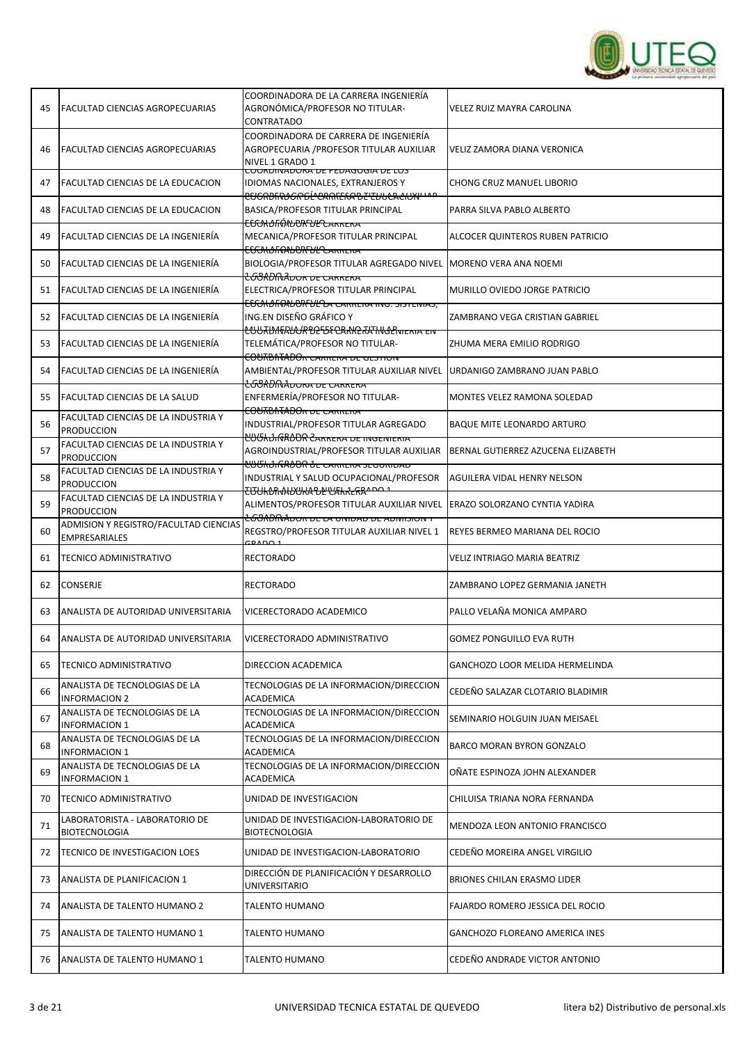

| 45 | <b>FACULTAD CIENCIAS AGROPECUARIAS</b>                   | COORDINADORA DE LA CARRERA INGENIERÍA<br>AGRONÓMICA/PROFESOR NO TITULAR-<br>CONTRATADO                                          | VELEZ RUIZ MAYRA CAROLINA             |
|----|----------------------------------------------------------|---------------------------------------------------------------------------------------------------------------------------------|---------------------------------------|
| 46 | <b>FACULTAD CIENCIAS AGROPECUARIAS</b>                   | COORDINADORA DE CARRERA DE INGENIERÍA<br>AGROPECUARIA / PROFESOR TITULAR AUXILIAR<br>NIVEL 1 GRADO 1                            | VELIZ ZAMORA DIANA VERONICA           |
| 47 | <b>FACULTAD CIENCIAS DE LA EDUCACION</b>                 | COONDINADONA DE FEDAGOGIA DE LOS<br>IDIOMAS NACIONALES, EXTRANJEROS Y                                                           | CHONG CRUZ MANUEL LIBORIO             |
| 48 | <b>FACULTAD CIENCIAS DE LA EDUCACION</b>                 | <del>CUGRDIN)GRGÉ CARKEKA DE EUUCACIUNI IAP</del><br>BASICA/PROFESOR TITULAR PRINCIPAL                                          | PARRA SILVA PABLO ALBERTO             |
| 49 | FACULTAD CIENCIAS DE LA INGENIERÍA                       | <del>ECCALOIIÓNUURFULCARRERA</del><br>MECANICA/PROFESOR TITULAR PRINCIPAL<br><del>EECMDFRAUDRFULCARRERA</del>                   | ALCOCER QUINTEROS RUBEN PATRICIO      |
| 50 | FACULTAD CIENCIAS DE LA INGENIERÍA                       | BIOLOGIA/PROFESOR TITULAR AGREGADO NIVEL MORENO VERA ANA NOEMI<br>COORDMADOR DE CARRERA                                         |                                       |
| 51 | FACULTAD CIENCIAS DE LA INGENIERÍA                       | ELECTRICA/PROFESOR TITULAR PRINCIPAL<br>EGGALO FRANCIA CARRERA ING. SISTEIVIAS,                                                 | MURILLO OVIEDO JORGE PATRICIO         |
| 52 | FACULTAD CIENCIAS DE LA INGENIERÍA                       | ING.EN DISEÑO GRÁFICO Y                                                                                                         | ZAMBRANO VEGA CRISTIAN GABRIEL        |
| 53 | FACULTAD CIENCIAS DE LA INGENIERÍA                       | <del>CUURDINALUR DE EA CARKE RA HUGENIERIA EN</del><br>TELEMÁTICA/PROFESOR NO TITULAR-<br><b>COURDINADOR CARRERA DE GESTION</b> | ZHUMA MERA EMILIO RODRIGO             |
| 54 | FACULTAD CIENCIAS DE LA INGENIERÍA                       | AMBIENTAL/PROFESOR TITULAR AUXILIAR NIVEL<br><del>LGBADMADONA DE CANNENA</del>                                                  | URDANIGO ZAMBRANO JUAN PABLO          |
| 55 | <b>FACULTAD CIENCIAS DE LA SALUD</b>                     | ENFERMERÍA/PROFESOR NO TITULAR-<br><b>COURDINADOR DE CARRERA</b>                                                                | MONTES VELEZ RAMONA SOLEDAD           |
| 56 | FACULTAD CIENCIAS DE LA INDUSTRIA Y<br><b>PRODUCCION</b> | INDUSTRIAL/PROFESOR TITULAR AGREGADO<br><del>ĽŮŰkĴIÑŔĎŨŔ ĈARRERA DE INGENIERIA</del>                                            | <b>BAQUE MITE LEONARDO ARTURO</b>     |
| 57 | FACULTAD CIENCIAS DE LA INDUSTRIA Y<br><b>PRODUCCION</b> | AGROINDUSTRIAL/PROFESOR TITULAR AUXILIAR<br><b>LUGHJIGRDOR JE CARRERA SEGORIDAD</b>                                             | BERNAL GUTIERREZ AZUCENA ELIZABETH    |
| 58 | FACULTAD CIENCIAS DE LA INDUSTRIA Y<br><b>PRODUCCION</b> | INDUSTRIAL Y SALUD OCUPACIONAL/PROFESOR<br><del>ႠՄՍՒՆՈላAUUKAჀႲჀ乐kŔჺႬՋ^ႲႲ</del>                                                  | AGUILERA VIDAL HENRY NELSON           |
| 59 | FACULTAD CIENCIAS DE LA INDUSTRIA Y<br><b>PRODUCCION</b> | ALIMENTOS/PROFESOR TITULAR AUXILIAR NIVEL ERAZO SOLORZANO CYNTIA YADIRA                                                         |                                       |
| 60 | ADMISION Y REGISTRO/FACULTAD CIENCIAS<br>EMPRESARIALES   | <del>1.60ADMADOR DE LA UNIDAD DE ADIVIISION Y</del><br>REGSTRO/PROFESOR TITULAR AUXILIAR NIVEL 1                                | REYES BERMEO MARIANA DEL ROCIO        |
|    |                                                          |                                                                                                                                 |                                       |
| 61 | <b>TECNICO ADMINISTRATIVO</b>                            | <b>RECTORADO</b>                                                                                                                | <b>VELIZ INTRIAGO MARIA BEATRIZ</b>   |
| 62 | <b>CONSERJE</b>                                          | <b>RECTORADO</b>                                                                                                                | ZAMBRANO LOPEZ GERMANIA JANETH        |
| 63 | ANALISTA DE AUTORIDAD UNIVERSITARIA                      | VICERECTORADO ACADEMICO                                                                                                         | PALLO VELAÑA MONICA AMPARO            |
| 64 | ANALISTA DE AUTORIDAD UNIVERSITARIA                      | VICERECTORADO ADMINISTRATIVO                                                                                                    | <b>GOMEZ PONGUILLO EVA RUTH</b>       |
| 65 | <b>TECNICO ADMINISTRATIVO</b>                            | DIRECCION ACADEMICA                                                                                                             | GANCHOZO LOOR MELIDA HERMELINDA       |
| 66 | ANALISTA DE TECNOLOGIAS DE LA<br><b>INFORMACION 2</b>    | TECNOLOGIAS DE LA INFORMACION/DIRECCION<br><b>ACADEMICA</b>                                                                     | CEDEÑO SALAZAR CLOTARIO BLADIMIR      |
| 67 | ANALISTA DE TECNOLOGIAS DE LA<br><b>INFORMACION 1</b>    | TECNOLOGIAS DE LA INFORMACION/DIRECCION<br>ACADEMICA                                                                            | SEMINARIO HOLGUIN JUAN MEISAEL        |
| 68 | ANALISTA DE TECNOLOGIAS DE LA<br><b>INFORMACION 1</b>    | TECNOLOGIAS DE LA INFORMACION/DIRECCION<br>ACADEMICA                                                                            | <b>BARCO MORAN BYRON GONZALO</b>      |
| 69 | ANALISTA DE TECNOLOGIAS DE LA<br><b>INFORMACION 1</b>    | TECNOLOGIAS DE LA INFORMACION/DIRECCION<br>ACADEMICA                                                                            | OÑATE ESPINOZA JOHN ALEXANDER         |
| 70 | TECNICO ADMINISTRATIVO                                   | UNIDAD DE INVESTIGACION                                                                                                         | CHILUISA TRIANA NORA FERNANDA         |
| 71 | LABORATORISTA - LABORATORIO DE<br><b>BIOTECNOLOGIA</b>   | UNIDAD DE INVESTIGACION-LABORATORIO DE<br><b>BIOTECNOLOGIA</b>                                                                  | MENDOZA LEON ANTONIO FRANCISCO        |
| 72 | TECNICO DE INVESTIGACION LOES                            | UNIDAD DE INVESTIGACION-LABORATORIO                                                                                             | CEDEÑO MOREIRA ANGEL VIRGILIO         |
| 73 | ANALISTA DE PLANIFICACION 1                              | DIRECCIÓN DE PLANIFICACIÓN Y DESARROLLO<br>UNIVERSITARIO                                                                        | BRIONES CHILAN ERASMO LIDER           |
| 74 | ANALISTA DE TALENTO HUMANO 2                             | TALENTO HUMANO                                                                                                                  | FAJARDO ROMERO JESSICA DEL ROCIO      |
| 75 | ANALISTA DE TALENTO HUMANO 1                             | TALENTO HUMANO                                                                                                                  | <b>GANCHOZO FLOREANO AMERICA INES</b> |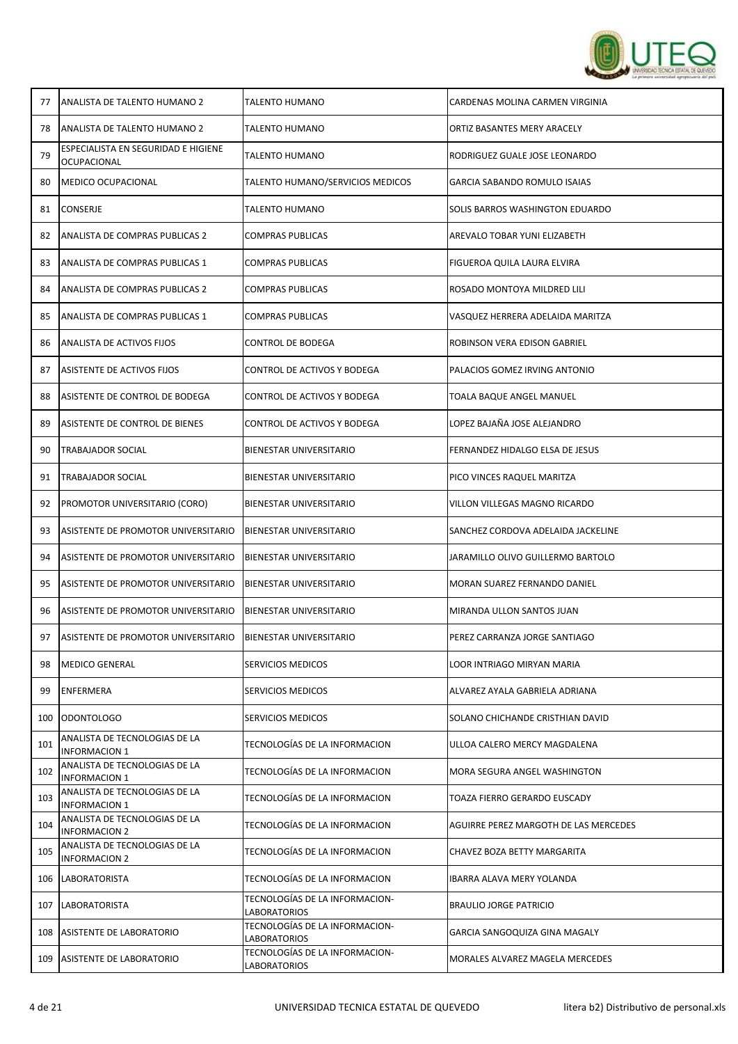

| 77  | ANALISTA DE TALENTO HUMANO 2                          | <b>TALENTO HUMANO</b>                          | CARDENAS MOLINA CARMEN VIRGINIA       |
|-----|-------------------------------------------------------|------------------------------------------------|---------------------------------------|
| 78  | ANALISTA DE TALENTO HUMANO 2                          | <b>TALENTO HUMANO</b>                          | ORTIZ BASANTES MERY ARACELY           |
| 79  | ESPECIALISTA EN SEGURIDAD E HIGIENE<br>OCUPACIONAL    | <b>TALENTO HUMANO</b>                          | RODRIGUEZ GUALE JOSE LEONARDO         |
| 80  | MEDICO OCUPACIONAL                                    | TALENTO HUMANO/SERVICIOS MEDICOS               | GARCIA SABANDO ROMULO ISAIAS          |
| 81  | <b>CONSERJE</b>                                       | TALENTO HUMANO                                 | SOLIS BARROS WASHINGTON EDUARDO       |
| 82  | ANALISTA DE COMPRAS PUBLICAS 2                        | COMPRAS PUBLICAS                               | AREVALO TOBAR YUNI ELIZABETH          |
| 83  | ANALISTA DE COMPRAS PUBLICAS 1                        | <b>COMPRAS PUBLICAS</b>                        | FIGUEROA QUILA LAURA ELVIRA           |
| 84  | ANALISTA DE COMPRAS PUBLICAS 2                        | COMPRAS PUBLICAS                               | ROSADO MONTOYA MILDRED LILI           |
| 85  | ANALISTA DE COMPRAS PUBLICAS 1                        | COMPRAS PUBLICAS                               | VASQUEZ HERRERA ADELAIDA MARITZA      |
| 86  | ANALISTA DE ACTIVOS FIJOS                             | <b>CONTROL DE BODEGA</b>                       | ROBINSON VERA EDISON GABRIEL          |
| 87  | ASISTENTE DE ACTIVOS FIJOS                            | CONTROL DE ACTIVOS Y BODEGA                    | PALACIOS GOMEZ IRVING ANTONIO         |
| 88  | ASISTENTE DE CONTROL DE BODEGA                        | CONTROL DE ACTIVOS Y BODEGA                    | TOALA BAQUE ANGEL MANUEL              |
| 89  | ASISTENTE DE CONTROL DE BIENES                        | CONTROL DE ACTIVOS Y BODEGA                    | LOPEZ BAJAÑA JOSE ALEJANDRO           |
| 90  | <b>TRABAJADOR SOCIAL</b>                              | BIENESTAR UNIVERSITARIO                        | FERNANDEZ HIDALGO ELSA DE JESUS       |
| 91  | TRABAJADOR SOCIAL                                     | <b>BIENESTAR UNIVERSITARIO</b>                 | PICO VINCES RAQUEL MARITZA            |
| 92  | PROMOTOR UNIVERSITARIO (CORO)                         | BIENESTAR UNIVERSITARIO                        | VILLON VILLEGAS MAGNO RICARDO         |
| 93  | ASISTENTE DE PROMOTOR UNIVERSITARIO                   | <b>BIENESTAR UNIVERSITARIO</b>                 | SANCHEZ CORDOVA ADELAIDA JACKELINE    |
| 94  | ASISTENTE DE PROMOTOR UNIVERSITARIO                   | <b>BIENESTAR UNIVERSITARIO</b>                 | JARAMILLO OLIVO GUILLERMO BARTOLO     |
| 95  | ASISTENTE DE PROMOTOR UNIVERSITARIO                   | BIENESTAR UNIVERSITARIO                        | MORAN SUAREZ FERNANDO DANIEL          |
| 96  | ASISTENTE DE PROMOTOR UNIVERSITARIO                   | <b>BIENESTAR UNIVERSITARIO</b>                 | MIRANDA ULLON SANTOS JUAN             |
| 97  | ASISTENTE DE PROMOTOR UNIVERSITARIO                   | <b>BIENESTAR UNIVERSITARIO</b>                 | PEREZ CARRANZA JORGE SANTIAGO         |
| 98  | <b>MEDICO GENERAL</b>                                 | SERVICIOS MEDICOS                              | LOOR INTRIAGO MIRYAN MARIA            |
| 99  | <b>ENFERMERA</b>                                      | SERVICIOS MEDICOS                              | ALVAREZ AYALA GABRIELA ADRIANA        |
| 100 | ODONTOLOGO                                            | SERVICIOS MEDICOS                              | SOLANO CHICHANDE CRISTHIAN DAVID      |
| 101 | ANALISTA DE TECNOLOGIAS DE LA<br><b>INFORMACION 1</b> | TECNOLOGÍAS DE LA INFORMACION                  | ULLOA CALERO MERCY MAGDALENA          |
| 102 | ANALISTA DE TECNOLOGIAS DE LA<br><b>INFORMACION 1</b> | TECNOLOGÍAS DE LA INFORMACION                  | MORA SEGURA ANGEL WASHINGTON          |
| 103 | ANALISTA DE TECNOLOGIAS DE LA<br><b>INFORMACION 1</b> | TECNOLOGÍAS DE LA INFORMACION                  | TOAZA FIERRO GERARDO EUSCADY          |
| 104 | ANALISTA DE TECNOLOGIAS DE LA<br><b>INFORMACION 2</b> | TECNOLOGÍAS DE LA INFORMACION                  | AGUIRRE PEREZ MARGOTH DE LAS MERCEDES |
| 105 | ANALISTA DE TECNOLOGIAS DE LA<br><b>INFORMACION 2</b> | TECNOLOGÍAS DE LA INFORMACION                  | CHAVEZ BOZA BETTY MARGARITA           |
| 106 | <b>LABORATORISTA</b>                                  | TECNOLOGÍAS DE LA INFORMACION                  | IBARRA ALAVA MERY YOLANDA             |
| 107 | <b>LABORATORISTA</b>                                  | TECNOLOGÍAS DE LA INFORMACION-<br>LABORATORIOS | <b>BRAULIO JORGE PATRICIO</b>         |
| 108 | ASISTENTE DE LABORATORIO                              | TECNOLOGÍAS DE LA INFORMACION-<br>LABORATORIOS | GARCIA SANGOQUIZA GINA MAGALY         |
| 109 | ASISTENTE DE LABORATORIO                              | TECNOLOGÍAS DE LA INFORMACION-<br>LABORATORIOS | MORALES ALVAREZ MAGELA MERCEDES       |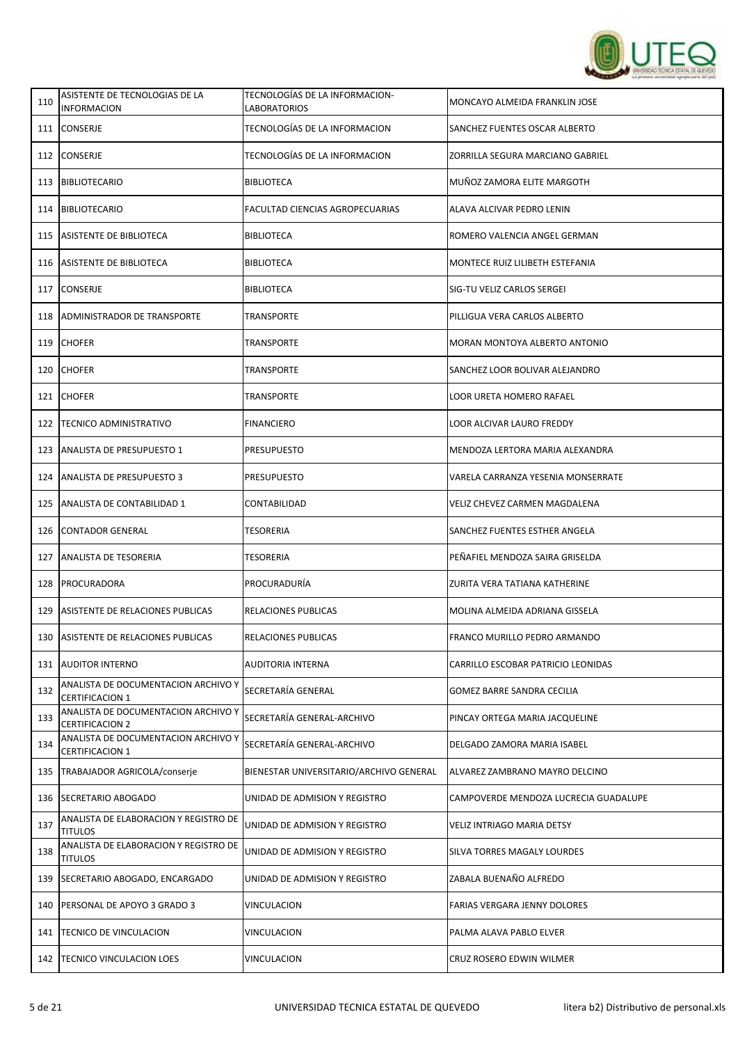

| 110 | ASISTENTE DE TECNOLOGIAS DE LA<br><b>INFORMACION</b>          | TECNOLOGÍAS DE LA INFORMACION-<br><b>LABORATORIOS</b> | MONCAYO ALMEIDA FRANKLIN JOSE         |
|-----|---------------------------------------------------------------|-------------------------------------------------------|---------------------------------------|
|     | 111 CONSERJE                                                  | TECNOLOGÍAS DE LA INFORMACION                         | SANCHEZ FUENTES OSCAR ALBERTO         |
| 112 | <b>CONSERJE</b>                                               | TECNOLOGÍAS DE LA INFORMACION                         | ZORRILLA SEGURA MARCIANO GABRIEL      |
| 113 | <b>BIBLIOTECARIO</b>                                          | <b>BIBLIOTECA</b>                                     | MUÑOZ ZAMORA ELITE MARGOTH            |
|     | 114   BIBLIOTECARIO                                           | FACULTAD CIENCIAS AGROPECUARIAS                       | ALAVA ALCIVAR PEDRO LENIN             |
|     | 115 ASISTENTE DE BIBLIOTECA                                   | <b>BIBLIOTECA</b>                                     | ROMERO VALENCIA ANGEL GERMAN          |
|     | 116 ASISTENTE DE BIBLIOTECA                                   | BIBLIOTECA                                            | MONTECE RUIZ LILIBETH ESTEFANIA       |
| 117 | <b>CONSERJE</b>                                               | <b>BIBLIOTECA</b>                                     | SIG-TU VELIZ CARLOS SERGEI            |
| 118 | ADMINISTRADOR DE TRANSPORTE                                   | TRANSPORTE                                            | PILLIGUA VERA CARLOS ALBERTO          |
| 119 | <b>CHOFER</b>                                                 | TRANSPORTE                                            | MORAN MONTOYA ALBERTO ANTONIO         |
| 120 | <b>CHOFER</b>                                                 | TRANSPORTE                                            | SANCHEZ LOOR BOLIVAR ALEJANDRO        |
|     | 121 CHOFER                                                    | TRANSPORTE                                            | LOOR URETA HOMERO RAFAEL              |
| 122 | <b>TECNICO ADMINISTRATIVO</b>                                 | <b>FINANCIERO</b>                                     | LOOR ALCIVAR LAURO FREDDY             |
| 123 | <b>ANALISTA DE PRESUPUESTO 1</b>                              | <b>PRESUPUESTO</b>                                    | MENDOZA LERTORA MARIA ALEXANDRA       |
| 124 | <b>ANALISTA DE PRESUPUESTO 3</b>                              | PRESUPUESTO                                           | VARELA CARRANZA YESENIA MONSERRATE    |
| 125 | ANALISTA DE CONTABILIDAD 1                                    | CONTABILIDAD                                          | <b>VELIZ CHEVEZ CARMEN MAGDALENA</b>  |
| 126 | <b>CONTADOR GENERAL</b>                                       | TESORERIA                                             | SANCHEZ FUENTES ESTHER ANGELA         |
|     | 127 ANALISTA DE TESORERIA                                     | TESORERIA                                             | PEÑAFIEL MENDOZA SAIRA GRISELDA       |
| 128 | <b>PROCURADORA</b>                                            | PROCURADURÍA                                          | ZURITA VERA TATIANA KATHERINE         |
| 129 | ASISTENTE DE RELACIONES PUBLICAS                              | RELACIONES PUBLICAS                                   | MOLINA ALMEIDA ADRIANA GISSELA        |
| 130 | ASISTENTE DE RELACIONES PUBLICAS                              | RELACIONES PUBLICAS                                   | FRANCO MURILLO PEDRO ARMANDO          |
| 131 | <b>AUDITOR INTERNO</b>                                        | AUDITORIA INTERNA                                     | CARRILLO ESCOBAR PATRICIO LEONIDAS    |
| 132 | ANALISTA DE DOCUMENTACION ARCHIVO Y<br><b>CERTIFICACION 1</b> | SECRETARÍA GENERAL                                    | <b>GOMEZ BARRE SANDRA CECILIA</b>     |
| 133 | ANALISTA DE DOCUMENTACION ARCHIVO Y<br><b>CERTIFICACION 2</b> | SECRETARÍA GENERAL-ARCHIVO                            | PINCAY ORTEGA MARIA JACQUELINE        |
| 134 | ANALISTA DE DOCUMENTACION ARCHIVO Y<br><b>CERTIFICACION 1</b> | SECRETARÍA GENERAL-ARCHIVO                            | DELGADO ZAMORA MARIA ISABEL           |
| 135 | TRABAJADOR AGRICOLA/conserje                                  | BIENESTAR UNIVERSITARIO/ARCHIVO GENERAL               | ALVAREZ ZAMBRANO MAYRO DELCINO        |
| 136 | SECRETARIO ABOGADO                                            | UNIDAD DE ADMISION Y REGISTRO                         | CAMPOVERDE MENDOZA LUCRECIA GUADALUPE |
| 137 | ANALISTA DE ELABORACION Y REGISTRO DE<br><b>TITULOS</b>       | UNIDAD DE ADMISION Y REGISTRO                         | VELIZ INTRIAGO MARIA DETSY            |
| 138 | ANALISTA DE ELABORACION Y REGISTRO DE<br><b>TITULOS</b>       | UNIDAD DE ADMISION Y REGISTRO                         | SILVA TORRES MAGALY LOURDES           |
| 139 | SECRETARIO ABOGADO, ENCARGADO                                 | UNIDAD DE ADMISION Y REGISTRO                         | ZABALA BUENAÑO ALFREDO                |
| 140 | PERSONAL DE APOYO 3 GRADO 3                                   | VINCULACION                                           | FARIAS VERGARA JENNY DOLORES          |
| 141 | TECNICO DE VINCULACION                                        | VINCULACION                                           | PALMA ALAVA PABLO ELVER               |
| 142 | <b>TECNICO VINCULACION LOES</b>                               | VINCULACION                                           | CRUZ ROSERO EDWIN WILMER              |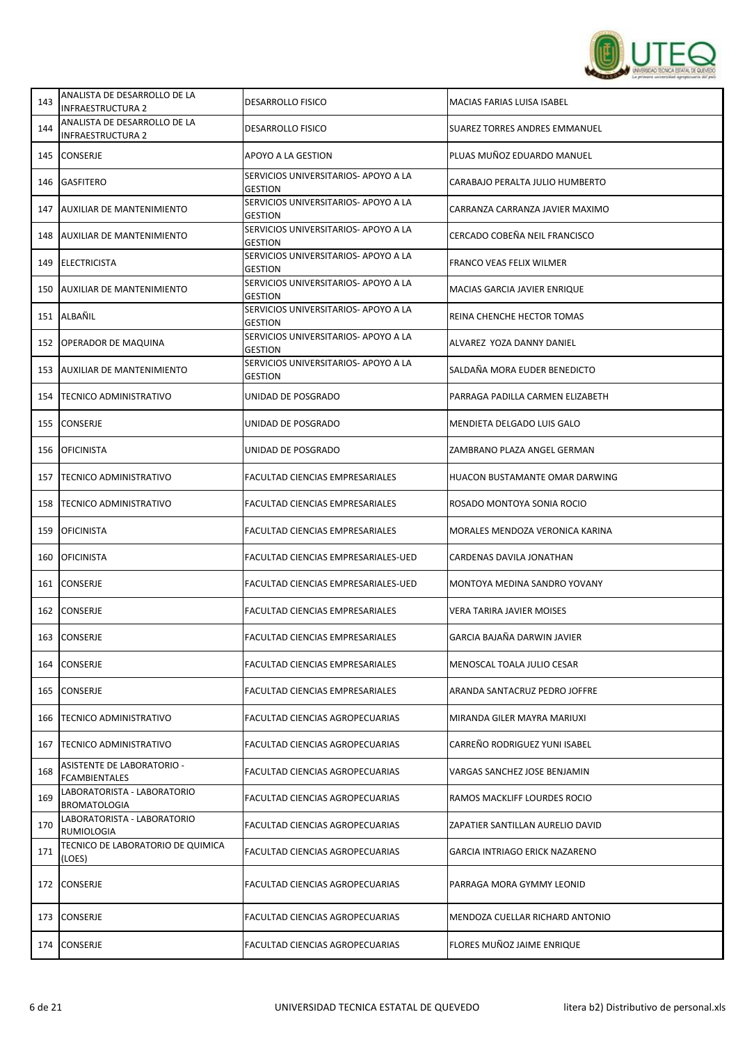

| 143 | ANALISTA DE DESARROLLO DE LA<br><b>INFRAESTRUCTURA 2</b>  | <b>DESARROLLO FISICO</b>                               | MACIAS FARIAS LUISA ISABEL            |
|-----|-----------------------------------------------------------|--------------------------------------------------------|---------------------------------------|
| 144 | ANALISTA DE DESARROLLO DE LA<br>INFRAESTRUCTURA 2         | <b>DESARROLLO FISICO</b>                               | SUAREZ TORRES ANDRES EMMANUEL         |
| 145 | <b>CONSERJE</b>                                           | APOYO A LA GESTION                                     | PLUAS MUÑOZ EDUARDO MANUEL            |
| 146 | <b>GASFITERO</b>                                          | SERVICIOS UNIVERSITARIOS- APOYO A LA<br><b>GESTION</b> | CARABAJO PERALTA JULIO HUMBERTO       |
| 147 | AUXILIAR DE MANTENIMIENTO                                 | SERVICIOS UNIVERSITARIOS- APOYO A LA<br><b>GESTION</b> | CARRANZA CARRANZA JAVIER MAXIMO       |
| 148 | AUXILIAR DE MANTENIMIENTO                                 | SERVICIOS UNIVERSITARIOS- APOYO A LA<br><b>GESTION</b> | CERCADO COBEÑA NEIL FRANCISCO         |
| 149 | ELECTRICISTA                                              | SERVICIOS UNIVERSITARIOS- APOYO A LA<br><b>GESTION</b> | FRANCO VEAS FELIX WILMER              |
| 150 | AUXILIAR DE MANTENIMIENTO                                 | SERVICIOS UNIVERSITARIOS- APOYO A LA<br><b>GESTION</b> | MACIAS GARCIA JAVIER ENRIQUE          |
| 151 | ALBAÑIL                                                   | SERVICIOS UNIVERSITARIOS- APOYO A LA<br><b>GESTION</b> | REINA CHENCHE HECTOR TOMAS            |
| 152 | <b>OPERADOR DE MAQUINA</b>                                | SERVICIOS UNIVERSITARIOS- APOYO A LA<br><b>GESTION</b> | ALVAREZ YOZA DANNY DANIEL             |
| 153 | <b>AUXILIAR DE MANTENIMIENTO</b>                          | SERVICIOS UNIVERSITARIOS- APOYO A LA<br><b>GESTION</b> | SALDAÑA MORA EUDER BENEDICTO          |
| 154 | <b>TECNICO ADMINISTRATIVO</b>                             | UNIDAD DE POSGRADO                                     | PARRAGA PADILLA CARMEN ELIZABETH      |
| 155 | <b>CONSERJE</b>                                           | UNIDAD DE POSGRADO                                     | MENDIETA DELGADO LUIS GALO            |
| 156 | <b>OFICINISTA</b>                                         | UNIDAD DE POSGRADO                                     | ZAMBRANO PLAZA ANGEL GERMAN           |
| 157 | <b>TECNICO ADMINISTRATIVO</b>                             | FACULTAD CIENCIAS EMPRESARIALES                        | HUACON BUSTAMANTE OMAR DARWING        |
| 158 | <b>TECNICO ADMINISTRATIVO</b>                             | FACULTAD CIENCIAS EMPRESARIALES                        | ROSADO MONTOYA SONIA ROCIO            |
| 159 | <b>OFICINISTA</b>                                         | FACULTAD CIENCIAS EMPRESARIALES                        | MORALES MENDOZA VERONICA KARINA       |
| 160 | <b>OFICINISTA</b>                                         | FACULTAD CIENCIAS EMPRESARIALES-UED                    | CARDENAS DAVILA JONATHAN              |
| 161 | <b>CONSERJE</b>                                           | FACULTAD CIENCIAS EMPRESARIALES-UED                    | MONTOYA MEDINA SANDRO YOVANY          |
| 162 | <b>CONSERJE</b>                                           | FACULTAD CIENCIAS EMPRESARIALES                        | <b>VERA TARIRA JAVIER MOISES</b>      |
| 163 | <b>CONSERJE</b>                                           | FACULTAD CIENCIAS EMPRESARIALES                        | GARCIA BAJAÑA DARWIN JAVIER           |
| 164 | CONSERJE                                                  | FACULTAD CIENCIAS EMPRESARIALES                        | MENOSCAL TOALA JULIO CESAR            |
| 165 | <b>CONSERJE</b>                                           | FACULTAD CIENCIAS EMPRESARIALES                        | ARANDA SANTACRUZ PEDRO JOFFRE         |
| 166 | <b>TECNICO ADMINISTRATIVO</b>                             | FACULTAD CIENCIAS AGROPECUARIAS                        | MIRANDA GILER MAYRA MARIUXI           |
| 167 | <b>TECNICO ADMINISTRATIVO</b>                             | FACULTAD CIENCIAS AGROPECUARIAS                        | CARREÑO RODRIGUEZ YUNI ISABEL         |
| 168 | <b>ASISTENTE DE LABORATORIO -</b><br><b>FCAMBIENTALES</b> | FACULTAD CIENCIAS AGROPECUARIAS                        | VARGAS SANCHEZ JOSE BENJAMIN          |
| 169 | LABORATORISTA - LABORATORIO<br><b>BROMATOLOGIA</b>        | <b>FACULTAD CIENCIAS AGROPECUARIAS</b>                 | RAMOS MACKLIFF LOURDES ROCIO          |
| 170 | LABORATORISTA - LABORATORIO<br>RUMIOLOGIA                 | FACULTAD CIENCIAS AGROPECUARIAS                        | ZAPATIER SANTILLAN AURELIO DAVID      |
| 171 | TECNICO DE LABORATORIO DE QUIMICA<br>(LOES)               | FACULTAD CIENCIAS AGROPECUARIAS                        | <b>GARCIA INTRIAGO ERICK NAZARENO</b> |
| 172 | <b>CONSERJE</b>                                           | FACULTAD CIENCIAS AGROPECUARIAS                        | PARRAGA MORA GYMMY LEONID             |
| 173 | CONSERJE                                                  | FACULTAD CIENCIAS AGROPECUARIAS                        | MENDOZA CUELLAR RICHARD ANTONIO       |
| 174 | <b>CONSERJE</b>                                           | FACULTAD CIENCIAS AGROPECUARIAS                        | FLORES MUÑOZ JAIME ENRIQUE            |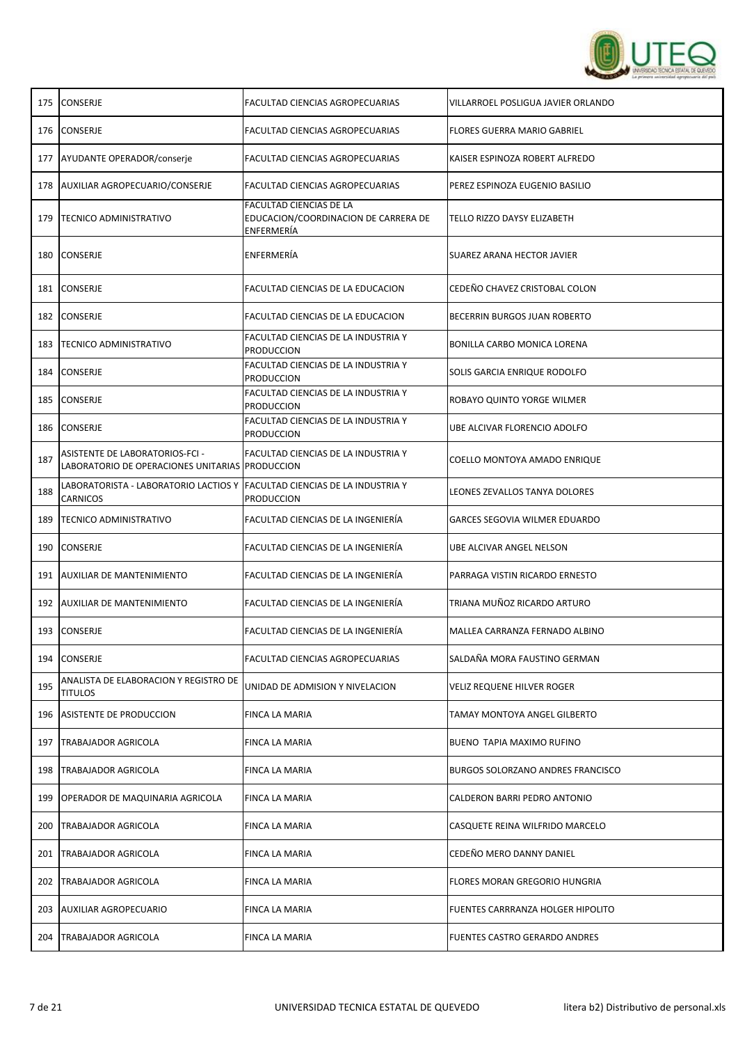

|     | 175 CONSERJE                                                                       | FACULTAD CIENCIAS AGROPECUARIAS                                               | VILLARROEL POSLIGUA JAVIER ORLANDO       |
|-----|------------------------------------------------------------------------------------|-------------------------------------------------------------------------------|------------------------------------------|
|     | 176 CONSERJE                                                                       | FACULTAD CIENCIAS AGROPECUARIAS                                               | <b>FLORES GUERRA MARIO GABRIEL</b>       |
|     | 177 AYUDANTE OPERADOR/conserie                                                     | FACULTAD CIENCIAS AGROPECUARIAS                                               | KAISER ESPINOZA ROBERT ALFREDO           |
|     | 178 AUXILIAR AGROPECUARIO/CONSERJE                                                 | FACULTAD CIENCIAS AGROPECUARIAS                                               | PEREZ ESPINOZA EUGENIO BASILIO           |
| 179 | <b>TECNICO ADMINISTRATIVO</b>                                                      | FACULTAD CIENCIAS DE LA<br>EDUCACION/COORDINACION DE CARRERA DE<br>ENFERMERÍA | TELLO RIZZO DAYSY ELIZABETH              |
|     | 180 CONSERJE                                                                       | ENFERMERÍA                                                                    | SUAREZ ARANA HECTOR JAVIER               |
|     | 181 CONSERJE                                                                       | FACULTAD CIENCIAS DE LA EDUCACION                                             | CEDEÑO CHAVEZ CRISTOBAL COLON            |
|     | 182 CONSERJE                                                                       | FACULTAD CIENCIAS DE LA EDUCACION                                             | BECERRIN BURGOS JUAN ROBERTO             |
| 183 | <b>TECNICO ADMINISTRATIVO</b>                                                      | FACULTAD CIENCIAS DE LA INDUSTRIA Y<br><b>PRODUCCION</b>                      | BONILLA CARBO MONICA LORENA              |
| 184 | <b>CONSERJE</b>                                                                    | FACULTAD CIENCIAS DE LA INDUSTRIA Y<br><b>PRODUCCION</b>                      | SOLIS GARCIA ENRIQUE RODOLFO             |
| 185 | <b>CONSERJE</b>                                                                    | FACULTAD CIENCIAS DE LA INDUSTRIA Y<br><b>PRODUCCION</b>                      | ROBAYO QUINTO YORGE WILMER               |
|     | 186 CONSERJE                                                                       | FACULTAD CIENCIAS DE LA INDUSTRIA Y<br><b>PRODUCCION</b>                      | UBE ALCIVAR FLORENCIO ADOLFO             |
| 187 | ASISTENTE DE LABORATORIOS-FCI -<br>LABORATORIO DE OPERACIONES UNITARIAS PRODUCCION | FACULTAD CIENCIAS DE LA INDUSTRIA Y                                           | COELLO MONTOYA AMADO ENRIQUE             |
| 188 | LABORATORISTA - LABORATORIO LACTIOS Y<br>CARNICOS                                  | <b>FACULTAD CIENCIAS DE LA INDUSTRIA Y</b><br><b>PRODUCCION</b>               | LEONES ZEVALLOS TANYA DOLORES            |
| 189 | <b>TECNICO ADMINISTRATIVO</b>                                                      | FACULTAD CIENCIAS DE LA INGENIERÍA                                            | GARCES SEGOVIA WILMER EDUARDO            |
|     | 190 CONSERJE                                                                       | FACULTAD CIENCIAS DE LA INGENIERÍA                                            | UBE ALCIVAR ANGEL NELSON                 |
|     | 191 AUXILIAR DE MANTENIMIENTO                                                      | FACULTAD CIENCIAS DE LA INGENIERÍA                                            | PARRAGA VISTIN RICARDO ERNESTO           |
|     | 192 AUXILIAR DE MANTENIMIENTO                                                      | FACULTAD CIENCIAS DE LA INGENIERÍA                                            | TRIANA MUÑOZ RICARDO ARTURO              |
| 193 | <b>CONSERJE</b>                                                                    | FACULTAD CIENCIAS DE LA INGENIERÍA                                            | MALLEA CARRANZA FERNADO ALBINO           |
| 194 | <b>CONSERJE</b>                                                                    | FACULTAD CIENCIAS AGROPECUARIAS                                               | SALDAÑA MORA FAUSTINO GERMAN             |
| 195 | ANALISTA DE ELABORACION Y REGISTRO DE<br><b>TITULOS</b>                            | UNIDAD DE ADMISION Y NIVELACION                                               | VELIZ REQUENE HILVER ROGER               |
| 196 | ASISTENTE DE PRODUCCION                                                            | <b>FINCA LA MARIA</b>                                                         | TAMAY MONTOYA ANGEL GILBERTO             |
| 197 | <b>TRABAJADOR AGRICOLA</b>                                                         | FINCA LA MARIA                                                                | BUENO TAPIA MAXIMO RUFINO                |
| 198 | <b>TRABAJADOR AGRICOLA</b>                                                         | FINCA LA MARIA                                                                | <b>BURGOS SOLORZANO ANDRES FRANCISCO</b> |
|     | 199   OPERADOR DE MAQUINARIA AGRICOLA                                              | FINCA LA MARIA                                                                | CALDERON BARRI PEDRO ANTONIO             |
| 200 | <b>TRABAJADOR AGRICOLA</b>                                                         | FINCA LA MARIA                                                                | CASQUETE REINA WILFRIDO MARCELO          |
| 201 | <b>TRABAJADOR AGRICOLA</b>                                                         | FINCA LA MARIA                                                                | CEDEÑO MERO DANNY DANIEL                 |
| 202 | <b>TRABAJADOR AGRICOLA</b>                                                         | FINCA LA MARIA                                                                | FLORES MORAN GREGORIO HUNGRIA            |
|     | 203 AUXILIAR AGROPECUARIO                                                          | FINCA LA MARIA                                                                | FUENTES CARRRANZA HOLGER HIPOLITO        |
| 204 | <b>TRABAJADOR AGRICOLA</b>                                                         | FINCA LA MARIA                                                                | FUENTES CASTRO GERARDO ANDRES            |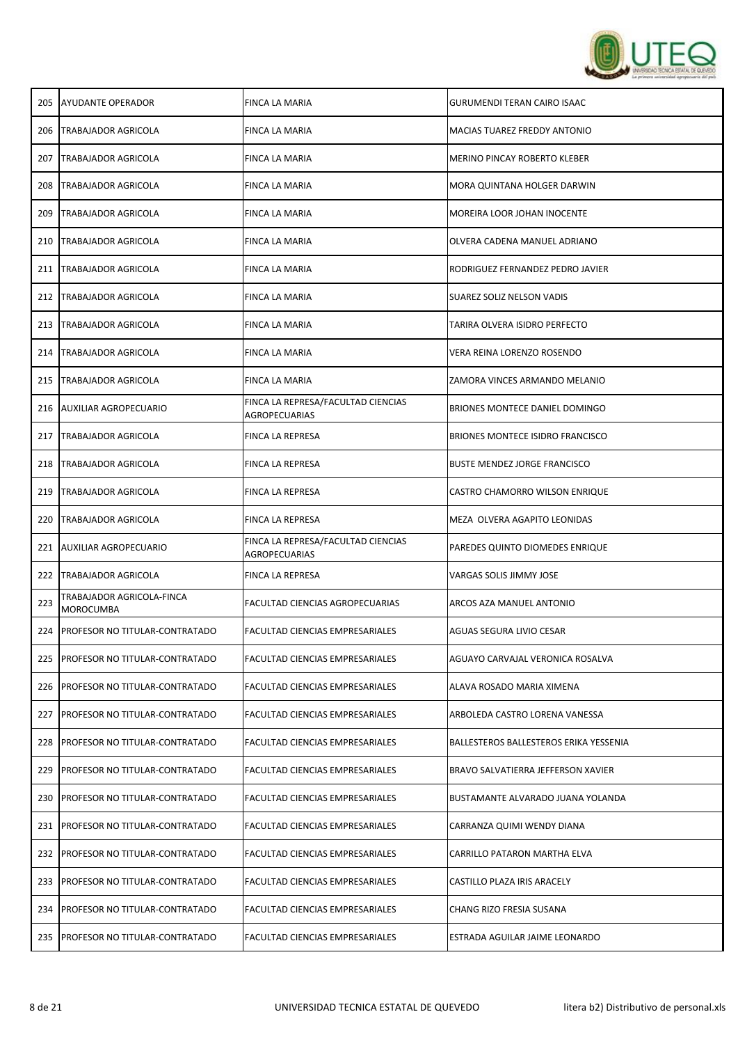

|                                               | FINCA LA MARIA                                                                                                                                                                                                                                                                                                                                                                                                                                                          | <b>GURUMENDI TERAN CAIRO ISAAC</b>      |
|-----------------------------------------------|-------------------------------------------------------------------------------------------------------------------------------------------------------------------------------------------------------------------------------------------------------------------------------------------------------------------------------------------------------------------------------------------------------------------------------------------------------------------------|-----------------------------------------|
|                                               | FINCA LA MARIA                                                                                                                                                                                                                                                                                                                                                                                                                                                          | MACIAS TUAREZ FREDDY ANTONIO            |
|                                               | FINCA LA MARIA                                                                                                                                                                                                                                                                                                                                                                                                                                                          | <b>MERINO PINCAY ROBERTO KLEBER</b>     |
| TRABAJADOR AGRICOLA                           | FINCA LA MARIA                                                                                                                                                                                                                                                                                                                                                                                                                                                          | MORA QUINTANA HOLGER DARWIN             |
| TRABAJADOR AGRICOLA                           | FINCA LA MARIA                                                                                                                                                                                                                                                                                                                                                                                                                                                          | MOREIRA LOOR JOHAN INOCENTE             |
| TRABAJADOR AGRICOLA                           | FINCA LA MARIA                                                                                                                                                                                                                                                                                                                                                                                                                                                          | OLVERA CADENA MANUEL ADRIANO            |
|                                               | FINCA LA MARIA                                                                                                                                                                                                                                                                                                                                                                                                                                                          | RODRIGUEZ FERNANDEZ PEDRO JAVIER        |
| TRABAJADOR AGRICOLA                           | FINCA LA MARIA                                                                                                                                                                                                                                                                                                                                                                                                                                                          | SUAREZ SOLIZ NELSON VADIS               |
|                                               | FINCA LA MARIA                                                                                                                                                                                                                                                                                                                                                                                                                                                          | TARIRA OLVERA ISIDRO PERFECTO           |
|                                               | FINCA LA MARIA                                                                                                                                                                                                                                                                                                                                                                                                                                                          | VERA REINA LORENZO ROSENDO              |
|                                               | FINCA LA MARIA                                                                                                                                                                                                                                                                                                                                                                                                                                                          | ZAMORA VINCES ARMANDO MELANIO           |
|                                               | FINCA LA REPRESA/FACULTAD CIENCIAS<br>AGROPECUARIAS                                                                                                                                                                                                                                                                                                                                                                                                                     | BRIONES MONTECE DANIEL DOMINGO          |
| TRABAJADOR AGRICOLA                           | FINCA LA REPRESA                                                                                                                                                                                                                                                                                                                                                                                                                                                        | <b>BRIONES MONTECE ISIDRO FRANCISCO</b> |
| TRABAJADOR AGRICOLA                           | FINCA LA REPRESA                                                                                                                                                                                                                                                                                                                                                                                                                                                        | <b>BUSTE MENDEZ JORGE FRANCISCO</b>     |
| TRABAJADOR AGRICOLA                           | FINCA LA REPRESA                                                                                                                                                                                                                                                                                                                                                                                                                                                        | CASTRO CHAMORRO WILSON ENRIQUE          |
| TRABAJADOR AGRICOLA                           | FINCA LA REPRESA                                                                                                                                                                                                                                                                                                                                                                                                                                                        | MEZA OLVERA AGAPITO LEONIDAS            |
|                                               | FINCA LA REPRESA/FACULTAD CIENCIAS<br>AGROPECUARIAS                                                                                                                                                                                                                                                                                                                                                                                                                     | PAREDES QUINTO DIOMEDES ENRIQUE         |
|                                               | FINCA LA REPRESA                                                                                                                                                                                                                                                                                                                                                                                                                                                        | VARGAS SOLIS JIMMY JOSE                 |
| TRABAJADOR AGRICOLA-FINCA<br><b>MOROCUMBA</b> | FACULTAD CIENCIAS AGROPECUARIAS                                                                                                                                                                                                                                                                                                                                                                                                                                         | ARCOS AZA MANUEL ANTONIO                |
|                                               | <b>FACULTAD CIENCIAS EMPRESARIALES</b>                                                                                                                                                                                                                                                                                                                                                                                                                                  | AGUAS SEGURA LIVIO CESAR                |
|                                               | FACULTAD CIENCIAS EMPRESARIALES                                                                                                                                                                                                                                                                                                                                                                                                                                         | AGUAYO CARVAJAL VERONICA ROSALVA        |
|                                               | <b>FACULTAD CIENCIAS EMPRESARIALES</b>                                                                                                                                                                                                                                                                                                                                                                                                                                  | ALAVA ROSADO MARIA XIMENA               |
| PROFESOR NO TITULAR-CONTRATADO                | FACULTAD CIENCIAS EMPRESARIALES                                                                                                                                                                                                                                                                                                                                                                                                                                         | ARBOLEDA CASTRO LORENA VANESSA          |
| PROFESOR NO TITULAR-CONTRATADO                | FACULTAD CIENCIAS EMPRESARIALES                                                                                                                                                                                                                                                                                                                                                                                                                                         | BALLESTEROS BALLESTEROS ERIKA YESSENIA  |
| PROFESOR NO TITULAR-CONTRATADO                | FACULTAD CIENCIAS EMPRESARIALES                                                                                                                                                                                                                                                                                                                                                                                                                                         | BRAVO SALVATIERRA JEFFERSON XAVIER      |
| PROFESOR NO TITULAR-CONTRATADO                | FACULTAD CIENCIAS EMPRESARIALES                                                                                                                                                                                                                                                                                                                                                                                                                                         | BUSTAMANTE ALVARADO JUANA YOLANDA       |
| PROFESOR NO TITULAR-CONTRATADO                | FACULTAD CIENCIAS EMPRESARIALES                                                                                                                                                                                                                                                                                                                                                                                                                                         | CARRANZA QUIMI WENDY DIANA              |
| PROFESOR NO TITULAR-CONTRATADO                | FACULTAD CIENCIAS EMPRESARIALES                                                                                                                                                                                                                                                                                                                                                                                                                                         | CARRILLO PATARON MARTHA ELVA            |
| PROFESOR NO TITULAR-CONTRATADO                | FACULTAD CIENCIAS EMPRESARIALES                                                                                                                                                                                                                                                                                                                                                                                                                                         | CASTILLO PLAZA IRIS ARACELY             |
|                                               | FACULTAD CIENCIAS EMPRESARIALES                                                                                                                                                                                                                                                                                                                                                                                                                                         | CHANG RIZO FRESIA SUSANA                |
| PROFESOR NO TITULAR-CONTRATADO                | FACULTAD CIENCIAS EMPRESARIALES                                                                                                                                                                                                                                                                                                                                                                                                                                         | ESTRADA AGUILAR JAIME LEONARDO          |
|                                               | <b>AYUDANTE OPERADOR</b><br><b>TRABAJADOR AGRICOLA</b><br><b>TRABAJADOR AGRICOLA</b><br><b>TRABAJADOR AGRICOLA</b><br><b>TRABAJADOR AGRICOLA</b><br>TRABAJADOR AGRICOLA<br><b>TRABAJADOR AGRICOLA</b><br><b>AUXILIAR AGROPECUARIO</b><br><b>AUXILIAR AGROPECUARIO</b><br><b>TRABAJADOR AGRICOLA</b><br><b>PROFESOR NO TITULAR-CONTRATADO</b><br><b>PROFESOR NO TITULAR-CONTRATADO</b><br><b>PROFESOR NO TITULAR-CONTRATADO</b><br><b>PROFESOR NO TITULAR-CONTRATADO</b> |                                         |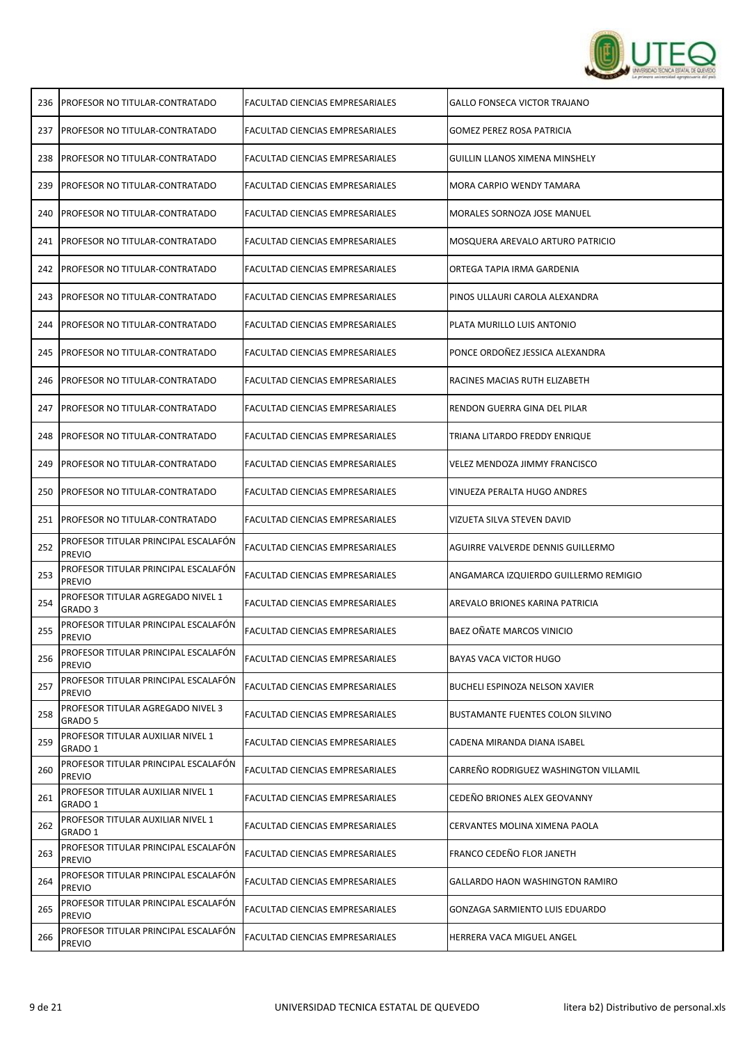

| 236 | <b>PROFESOR NO TITULAR-CONTRATADO</b>                   | FACULTAD CIENCIAS EMPRESARIALES | <b>GALLO FONSECA VICTOR TRAJANO</b>     |
|-----|---------------------------------------------------------|---------------------------------|-----------------------------------------|
| 237 | <b>PROFESOR NO TITULAR-CONTRATADO</b>                   | FACULTAD CIENCIAS EMPRESARIALES | <b>GOMEZ PEREZ ROSA PATRICIA</b>        |
| 238 | PROFESOR NO TITULAR-CONTRATADO                          | FACULTAD CIENCIAS EMPRESARIALES | <b>GUILLIN LLANOS XIMENA MINSHELY</b>   |
| 239 | PROFESOR NO TITULAR-CONTRATADO                          | FACULTAD CIENCIAS EMPRESARIALES | MORA CARPIO WENDY TAMARA                |
| 240 | PROFESOR NO TITULAR-CONTRATADO                          | FACULTAD CIENCIAS EMPRESARIALES | MORALES SORNOZA JOSE MANUEL             |
| 241 | PROFESOR NO TITULAR-CONTRATADO                          | FACULTAD CIENCIAS EMPRESARIALES | MOSQUERA AREVALO ARTURO PATRICIO        |
| 242 | PROFESOR NO TITULAR-CONTRATADO                          | FACULTAD CIENCIAS EMPRESARIALES | ORTEGA TAPIA IRMA GARDENIA              |
| 243 | PROFESOR NO TITULAR-CONTRATADO                          | FACULTAD CIENCIAS EMPRESARIALES | PINOS ULLAURI CAROLA ALEXANDRA          |
| 244 | PROFESOR NO TITULAR-CONTRATADO                          | FACULTAD CIENCIAS EMPRESARIALES | PLATA MURILLO LUIS ANTONIO              |
| 245 | PROFESOR NO TITULAR-CONTRATADO                          | FACULTAD CIENCIAS EMPRESARIALES | PONCE ORDOÑEZ JESSICA ALEXANDRA         |
| 246 | PROFESOR NO TITULAR-CONTRATADO                          | FACULTAD CIENCIAS EMPRESARIALES | RACINES MACIAS RUTH ELIZABETH           |
| 247 | PROFESOR NO TITULAR-CONTRATADO                          | FACULTAD CIENCIAS EMPRESARIALES | RENDON GUERRA GINA DEL PILAR            |
| 248 | PROFESOR NO TITULAR-CONTRATADO                          | FACULTAD CIENCIAS EMPRESARIALES | TRIANA LITARDO FREDDY ENRIQUE           |
| 249 | PROFESOR NO TITULAR-CONTRATADO                          | FACULTAD CIENCIAS EMPRESARIALES | <b>VELEZ MENDOZA JIMMY FRANCISCO</b>    |
| 250 | PROFESOR NO TITULAR-CONTRATADO                          | FACULTAD CIENCIAS EMPRESARIALES | VINUEZA PERALTA HUGO ANDRES             |
| 251 | PROFESOR NO TITULAR-CONTRATADO                          | FACULTAD CIENCIAS EMPRESARIALES | VIZUETA SILVA STEVEN DAVID              |
| 252 | PROFESOR TITULAR PRINCIPAL ESCALAFON<br><b>PREVIO</b>   | FACULTAD CIENCIAS EMPRESARIALES | AGUIRRE VALVERDE DENNIS GUILLERMO       |
| 253 | PROFESOR TITULAR PRINCIPAL ESCALAFÓN<br><b>PREVIO</b>   | FACULTAD CIENCIAS EMPRESARIALES | ANGAMARCA IZQUIERDO GUILLERMO REMIGIO   |
| 254 | PROFESOR TITULAR AGREGADO NIVEL 1<br>GRADO <sub>3</sub> | FACULTAD CIENCIAS EMPRESARIALES | AREVALO BRIONES KARINA PATRICIA         |
| 255 | PROFESOR TITULAR PRINCIPAL ESCALAFÓN<br><b>PREVIO</b>   | FACULTAD CIENCIAS EMPRESARIALES | BAEZ OÑATE MARCOS VINICIO               |
| 256 | PROFESOR TITULAR PRINCIPAL ESCALAFÓN<br><b>PREVIO</b>   | FACULTAD CIENCIAS EMPRESARIALES | BAYAS VACA VICTOR HUGO                  |
| 257 | PROFESOR TITULAR PRINCIPAL ESCALAFÓN<br><b>PREVIO</b>   | FACULTAD CIENCIAS EMPRESARIALES | BUCHELI ESPINOZA NELSON XAVIER          |
| 258 | PROFESOR TITULAR AGREGADO NIVEL 3<br>GRADO 5            | FACULTAD CIENCIAS EMPRESARIALES | <b>BUSTAMANTE FUENTES COLON SILVINO</b> |
| 259 | PROFESOR TITULAR AUXILIAR NIVEL 1<br>GRADO 1            | FACULTAD CIENCIAS EMPRESARIALES | CADENA MIRANDA DIANA ISABEL             |
| 260 | PROFESOR TITULAR PRINCIPAL ESCALAFÓN<br><b>PREVIO</b>   | FACULTAD CIENCIAS EMPRESARIALES | CARREÑO RODRIGUEZ WASHINGTON VILLAMIL   |
| 261 | PROFESOR TITULAR AUXILIAR NIVEL 1<br>GRADO 1            | FACULTAD CIENCIAS EMPRESARIALES | CEDEÑO BRIONES ALEX GEOVANNY            |
| 262 | PROFESOR TITULAR AUXILIAR NIVEL 1<br>GRADO 1            | FACULTAD CIENCIAS EMPRESARIALES | CERVANTES MOLINA XIMENA PAOLA           |
| 263 | PROFESOR TITULAR PRINCIPAL ESCALAFÓN<br><b>PREVIO</b>   | FACULTAD CIENCIAS EMPRESARIALES | FRANCO CEDEÑO FLOR JANETH               |
| 264 | PROFESOR TITULAR PRINCIPAL ESCALAFÓN<br><b>PREVIO</b>   | FACULTAD CIENCIAS EMPRESARIALES | GALLARDO HAON WASHINGTON RAMIRO         |
| 265 | PROFESOR TITULAR PRINCIPAL ESCALAFÓN<br><b>PREVIO</b>   | FACULTAD CIENCIAS EMPRESARIALES | GONZAGA SARMIENTO LUIS EDUARDO          |
| 266 | PROFESOR TITULAR PRINCIPAL ESCALAFÓN<br><b>PREVIO</b>   | FACULTAD CIENCIAS EMPRESARIALES | HERRERA VACA MIGUEL ANGEL               |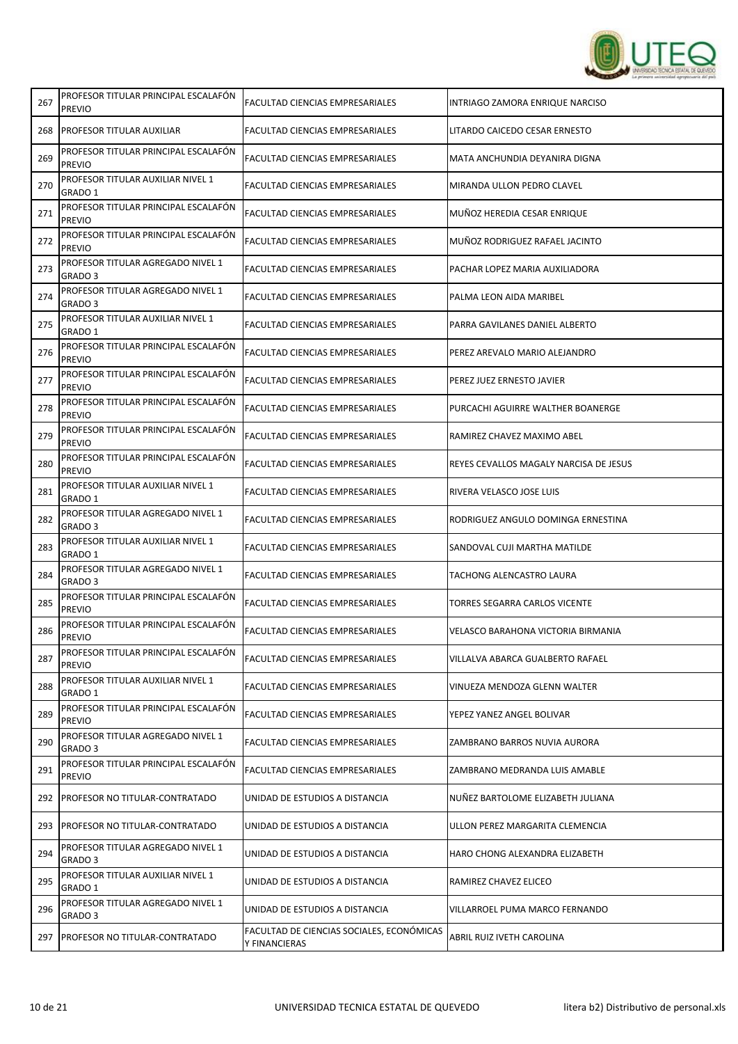

| 267 | <b>PREVIO</b>                                           | FACULTAD CIENCIAS EMPRESARIALES                            | INTRIAGO ZAMORA ENRIQUE NARCISO        |
|-----|---------------------------------------------------------|------------------------------------------------------------|----------------------------------------|
| 268 | PROFESOR TITULAR AUXILIAR                               | FACULTAD CIENCIAS EMPRESARIALES                            | LITARDO CAICEDO CESAR ERNESTO          |
| 269 | PROFESOR TITULAR PRINCIPAL ESCALAFON<br><b>PREVIO</b>   | FACULTAD CIENCIAS EMPRESARIALES                            | MATA ANCHUNDIA DEYANIRA DIGNA          |
| 270 | PROFESOR TITULAR AUXILIAR NIVEL 1<br>GRADO 1            | FACULTAD CIENCIAS EMPRESARIALES                            | MIRANDA ULLON PEDRO CLAVEL             |
| 271 | PROFESOR TITULAR PRINCIPAL ESCALAFÓN<br><b>PREVIO</b>   | FACULTAD CIENCIAS EMPRESARIALES                            | MUÑOZ HEREDIA CESAR ENRIQUE            |
| 272 | PROFESOR TITULAR PRINCIPAL ESCALAFÓN<br><b>PREVIO</b>   | FACULTAD CIENCIAS EMPRESARIALES                            | MUÑOZ RODRIGUEZ RAFAEL JACINTO         |
| 273 | PROFESOR TITULAR AGREGADO NIVEL 1<br>GRADO <sub>3</sub> | FACULTAD CIENCIAS EMPRESARIALES                            | PACHAR LOPEZ MARIA AUXILIADORA         |
| 274 | PROFESOR TITULAR AGREGADO NIVEL 1<br>GRADO 3            | FACULTAD CIENCIAS EMPRESARIALES                            | PALMA LEON AIDA MARIBEL                |
| 275 | PROFESOR TITULAR AUXILIAR NIVEL 1<br>GRADO 1            | FACULTAD CIENCIAS EMPRESARIALES                            | PARRA GAVILANES DANIEL ALBERTO         |
| 276 | PROFESOR TITULAR PRINCIPAL ESCALAFÓN<br><b>PREVIO</b>   | FACULTAD CIENCIAS EMPRESARIALES                            | PEREZ AREVALO MARIO ALEJANDRO          |
| 277 | PROFESOR TITULAR PRINCIPAL ESCALAFÓN<br><b>PREVIO</b>   | FACULTAD CIENCIAS EMPRESARIALES                            | PEREZ JUEZ ERNESTO JAVIER              |
| 278 | PROFESOR TITULAR PRINCIPAL ESCALAFÓN<br><b>PREVIO</b>   | FACULTAD CIENCIAS EMPRESARIALES                            | PURCACHI AGUIRRE WALTHER BOANERGE      |
| 279 | PROFESOR TITULAR PRINCIPAL ESCALAFÓN<br><b>PREVIO</b>   | FACULTAD CIENCIAS EMPRESARIALES                            | RAMIREZ CHAVEZ MAXIMO ABEL             |
| 280 | PROFESOR TITULAR PRINCIPAL ESCALAFÓN<br><b>PREVIO</b>   | FACULTAD CIENCIAS EMPRESARIALES                            | REYES CEVALLOS MAGALY NARCISA DE JESUS |
| 281 | PROFESOR TITULAR AUXILIAR NIVEL 1<br>GRADO 1            | FACULTAD CIENCIAS EMPRESARIALES                            | RIVERA VELASCO JOSE LUIS               |
| 282 | PROFESOR TITULAR AGREGADO NIVEL 1<br>GRADO <sub>3</sub> | FACULTAD CIENCIAS EMPRESARIALES                            | RODRIGUEZ ANGULO DOMINGA ERNESTINA     |
| 283 | PROFESOR TITULAR AUXILIAR NIVEL 1<br>GRADO 1            | FACULTAD CIENCIAS EMPRESARIALES                            | SANDOVAL CUJI MARTHA MATILDE           |
| 284 | PROFESOR TITULAR AGREGADO NIVEL 1<br>GRADO 3            | FACULTAD CIENCIAS EMPRESARIALES                            | TACHONG ALENCASTRO LAURA               |
| 285 | PROFESOR TITULAR PRINCIPAL ESCALAFÓN<br><b>PREVIO</b>   | FACULTAD CIENCIAS EMPRESARIALES                            | TORRES SEGARRA CARLOS VICENTE          |
| 286 | PROFESOR TITULAR PRINCIPAL ESCALAFÓN<br><b>PREVIO</b>   | FACULTAD CIENCIAS EMPRESARIALES                            | VELASCO BARAHONA VICTORIA BIRMANIA     |
| 287 | PROFESOR TITULAR PRINCIPAL ESCALAFÓN<br><b>PREVIO</b>   | FACULTAD CIENCIAS EMPRESARIALES                            | VILLALVA ABARCA GUALBERTO RAFAEL       |
| 288 | PROFESOR TITULAR AUXILIAR NIVEL 1<br>GRADO 1            | FACULTAD CIENCIAS EMPRESARIALES                            | VINUEZA MENDOZA GLENN WALTER           |
| 289 | PROFESOR TITULAR PRINCIPAL ESCALAFÓN<br><b>PREVIO</b>   | FACULTAD CIENCIAS EMPRESARIALES                            | YEPEZ YANEZ ANGEL BOLIVAR              |
| 290 | PROFESOR TITULAR AGREGADO NIVEL 1<br>GRADO 3            | FACULTAD CIENCIAS EMPRESARIALES                            | ZAMBRANO BARROS NUVIA AURORA           |
| 291 | PROFESOR TITULAR PRINCIPAL ESCALAFÓN<br><b>PREVIO</b>   | FACULTAD CIENCIAS EMPRESARIALES                            | ZAMBRANO MEDRANDA LUIS AMABLE          |
| 292 | <b>PROFESOR NO TITULAR-CONTRATADO</b>                   | UNIDAD DE ESTUDIOS A DISTANCIA                             | NUÑEZ BARTOLOME ELIZABETH JULIANA      |
| 293 | PROFESOR NO TITULAR-CONTRATADO                          | UNIDAD DE ESTUDIOS A DISTANCIA                             | ULLON PEREZ MARGARITA CLEMENCIA        |
| 294 | PROFESOR TITULAR AGREGADO NIVEL 1<br>GRADO 3            | UNIDAD DE ESTUDIOS A DISTANCIA                             | HARO CHONG ALEXANDRA ELIZABETH         |
| 295 | PROFESOR TITULAR AUXILIAR NIVEL 1<br>GRADO 1            | UNIDAD DE ESTUDIOS A DISTANCIA                             | RAMIREZ CHAVEZ ELICEO                  |
| 296 | PROFESOR TITULAR AGREGADO NIVEL 1<br>GRADO 3            | UNIDAD DE ESTUDIOS A DISTANCIA                             | VILLARROEL PUMA MARCO FERNANDO         |
| 297 | <b>PROFESOR NO TITULAR-CONTRATADO</b>                   | FACULTAD DE CIENCIAS SOCIALES, ECONÓMICAS<br>Y FINANCIERAS | ABRIL RUIZ IVETH CAROLINA              |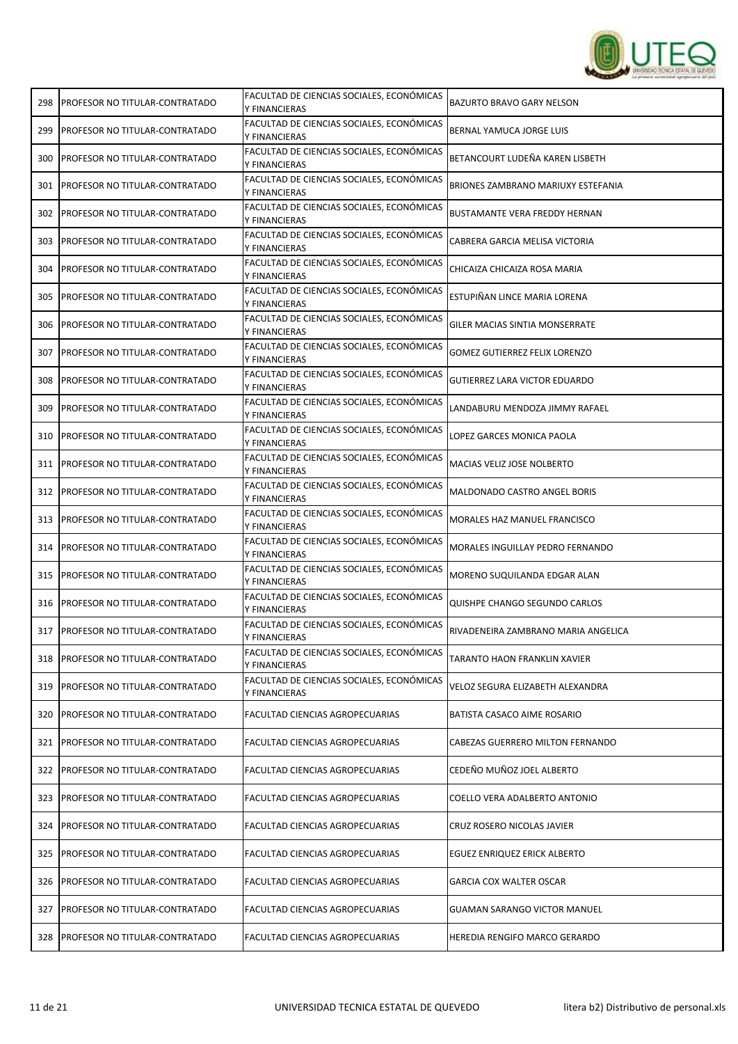

| 298 | PROFESOR NO TITULAR-CONTRATADO        | FACULTAD DE CIENCIAS SOCIALES, ECONÓMICAS<br>Y FINANCIERAS | BAZURTO BRAVO GARY NELSON            |
|-----|---------------------------------------|------------------------------------------------------------|--------------------------------------|
| 299 | PROFESOR NO TITULAR-CONTRATADO        | FACULTAD DE CIENCIAS SOCIALES, ECONÓMICAS<br>Y FINANCIERAS | BERNAL YAMUCA JORGE LUIS             |
| 300 | <b>PROFESOR NO TITULAR-CONTRATADO</b> | FACULTAD DE CIENCIAS SOCIALES, ECONÓMICAS<br>Y FINANCIERAS | BETANCOURT LUDEÑA KAREN LISBETH      |
| 301 | PROFESOR NO TITULAR-CONTRATADO        | FACULTAD DE CIENCIAS SOCIALES, ECONÓMICAS<br>Y FINANCIERAS | BRIONES ZAMBRANO MARIUXY ESTEFANIA   |
| 302 | PROFESOR NO TITULAR-CONTRATADO        | FACULTAD DE CIENCIAS SOCIALES, ECONÓMICAS<br>Y FINANCIERAS | BUSTAMANTE VERA FREDDY HERNAN        |
| 303 | PROFESOR NO TITULAR-CONTRATADO        | FACULTAD DE CIENCIAS SOCIALES, ECONÓMICAS<br>Y FINANCIERAS | CABRERA GARCIA MELISA VICTORIA       |
| 304 | PROFESOR NO TITULAR-CONTRATADO        | FACULTAD DE CIENCIAS SOCIALES, ECONÓMICAS<br>Y FINANCIERAS | CHICAIZA CHICAIZA ROSA MARIA         |
| 305 | PROFESOR NO TITULAR-CONTRATADO        | FACULTAD DE CIENCIAS SOCIALES, ECONÓMICAS<br>Y FINANCIERAS | ESTUPIÑAN LINCE MARIA LORENA         |
| 306 | PROFESOR NO TITULAR-CONTRATADO        | FACULTAD DE CIENCIAS SOCIALES, ECONÓMICAS<br>Y FINANCIERAS | GILER MACIAS SINTIA MONSERRATE       |
| 307 | <b>PROFESOR NO TITULAR-CONTRATADO</b> | FACULTAD DE CIENCIAS SOCIALES, ECONÓMICAS<br>Y FINANCIERAS | <b>GOMEZ GUTIERREZ FELIX LORENZO</b> |
| 308 | PROFESOR NO TITULAR-CONTRATADO        | FACULTAD DE CIENCIAS SOCIALES, ECONÓMICAS<br>Y FINANCIERAS | GUTIERREZ LARA VICTOR EDUARDO        |
| 309 | PROFESOR NO TITULAR-CONTRATADO        | FACULTAD DE CIENCIAS SOCIALES, ECONÓMICAS<br>Y FINANCIERAS | LANDABURU MENDOZA JIMMY RAFAEL       |
| 310 | PROFESOR NO TITULAR-CONTRATADO        | FACULTAD DE CIENCIAS SOCIALES, ECONÓMICAS<br>Y FINANCIERAS | LOPEZ GARCES MONICA PAOLA            |
| 311 | PROFESOR NO TITULAR-CONTRATADO        | FACULTAD DE CIENCIAS SOCIALES, ECONÓMICAS<br>Y FINANCIERAS | MACIAS VELIZ JOSE NOLBERTO           |
| 312 | PROFESOR NO TITULAR-CONTRATADO        | FACULTAD DE CIENCIAS SOCIALES, ECONÓMICAS<br>Y FINANCIERAS | MALDONADO CASTRO ANGEL BORIS         |
| 313 | PROFESOR NO TITULAR-CONTRATADO        | FACULTAD DE CIENCIAS SOCIALES, ECONÓMICAS<br>Y FINANCIERAS | MORALES HAZ MANUEL FRANCISCO         |
| 314 | PROFESOR NO TITULAR-CONTRATADO        | FACULTAD DE CIENCIAS SOCIALES, ECONÓMICAS<br>Y FINANCIERAS | MORALES INGUILLAY PEDRO FERNANDO     |
| 315 | PROFESOR NO TITULAR-CONTRATADO        | FACULTAD DE CIENCIAS SOCIALES, ECONÓMICAS<br>Y FINANCIERAS | MORENO SUQUILANDA EDGAR ALAN         |
| 316 | <b>PROFESOR NO TITULAR-CONTRATADO</b> | FACULTAD DE CIENCIAS SOCIALES, ECONÓMICAS<br>Y FINANCIERAS | QUISHPE CHANGO SEGUNDO CARLOS        |
| 317 | <b>PROFESOR NO TITULAR-CONTRATADO</b> | FACULTAD DE CIENCIAS SOCIALES, ECONÓMICAS<br>Y FINANCIERAS | RIVADENEIRA ZAMBRANO MARIA ANGELICA  |
| 318 | PROFESOR NO TITULAR-CONTRATADO        | FACULTAD DE CIENCIAS SOCIALES, ECONÓMICAS<br>Y FINANCIERAS | TARANTO HAON FRANKLIN XAVIER         |
| 319 | PROFESOR NO TITULAR-CONTRATADO        | FACULTAD DE CIENCIAS SOCIALES, ECONÓMICAS<br>Y FINANCIERAS | VELOZ SEGURA ELIZABETH ALEXANDRA     |
| 320 | PROFESOR NO TITULAR-CONTRATADO        | FACULTAD CIENCIAS AGROPECUARIAS                            | BATISTA CASACO AIME ROSARIO          |
| 321 | PROFESOR NO TITULAR-CONTRATADO        | FACULTAD CIENCIAS AGROPECUARIAS                            | CABEZAS GUERRERO MILTON FERNANDO     |
| 322 | PROFESOR NO TITULAR-CONTRATADO        | FACULTAD CIENCIAS AGROPECUARIAS                            | CEDEÑO MUÑOZ JOEL ALBERTO            |
| 323 | PROFESOR NO TITULAR-CONTRATADO        | FACULTAD CIENCIAS AGROPECUARIAS                            | COELLO VERA ADALBERTO ANTONIO        |
| 324 | PROFESOR NO TITULAR-CONTRATADO        | FACULTAD CIENCIAS AGROPECUARIAS                            | CRUZ ROSERO NICOLAS JAVIER           |
| 325 | PROFESOR NO TITULAR-CONTRATADO        | FACULTAD CIENCIAS AGROPECUARIAS                            | EGUEZ ENRIQUEZ ERICK ALBERTO         |
| 326 | PROFESOR NO TITULAR-CONTRATADO        | FACULTAD CIENCIAS AGROPECUARIAS                            | <b>GARCIA COX WALTER OSCAR</b>       |
| 327 | PROFESOR NO TITULAR-CONTRATADO        | FACULTAD CIENCIAS AGROPECUARIAS                            | <b>GUAMAN SARANGO VICTOR MANUEL</b>  |
| 328 | <b>PROFESOR NO TITULAR-CONTRATADO</b> | FACULTAD CIENCIAS AGROPECUARIAS                            | HEREDIA RENGIFO MARCO GERARDO        |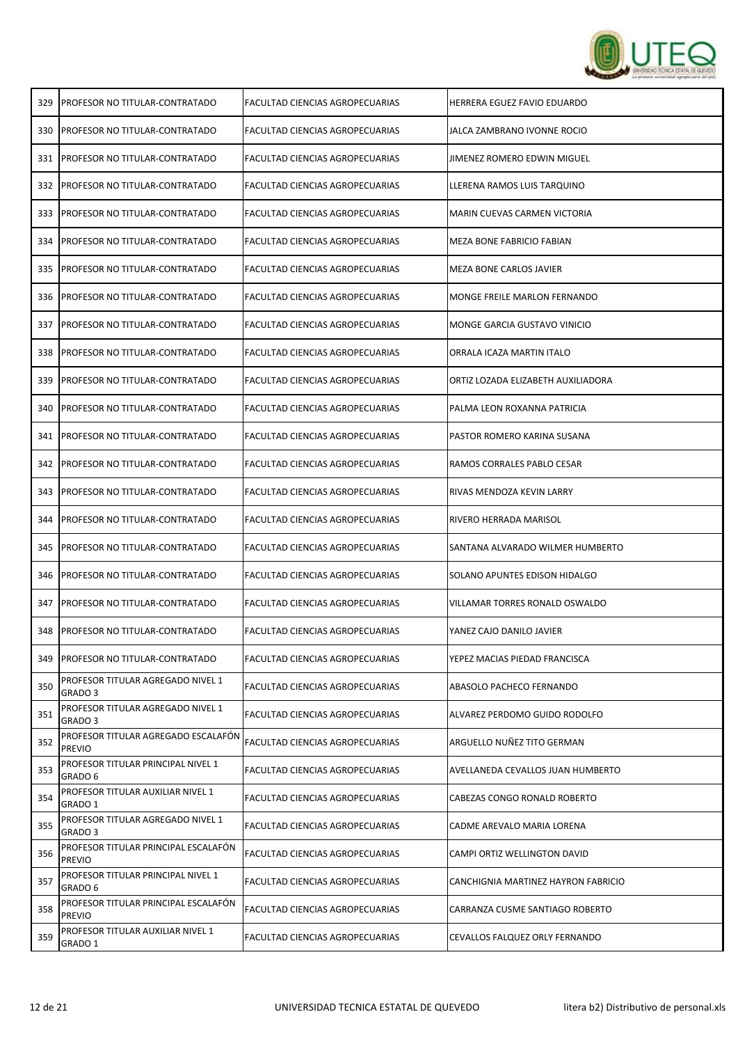

| <b>PROFESOR NO TITULAR-CONTRATADO</b>                   | FACULTAD CIENCIAS AGROPECUARIAS        | HERRERA EGUEZ FAVIO EDUARDO         |
|---------------------------------------------------------|----------------------------------------|-------------------------------------|
| <b>PROFESOR NO TITULAR-CONTRATADO</b>                   | FACULTAD CIENCIAS AGROPECUARIAS        | JALCA ZAMBRANO IVONNE ROCIO         |
| PROFESOR NO TITULAR-CONTRATADO                          | FACULTAD CIENCIAS AGROPECUARIAS        | JIMENEZ ROMERO EDWIN MIGUEL         |
| PROFESOR NO TITULAR-CONTRATADO                          | FACULTAD CIENCIAS AGROPECUARIAS        | LLERENA RAMOS LUIS TARQUINO         |
| PROFESOR NO TITULAR-CONTRATADO                          | FACULTAD CIENCIAS AGROPECUARIAS        | MARIN CUEVAS CARMEN VICTORIA        |
| PROFESOR NO TITULAR-CONTRATADO                          | FACULTAD CIENCIAS AGROPECUARIAS        | MEZA BONE FABRICIO FABIAN           |
| PROFESOR NO TITULAR-CONTRATADO                          | FACULTAD CIENCIAS AGROPECUARIAS        | MEZA BONE CARLOS JAVIER             |
| PROFESOR NO TITULAR-CONTRATADO                          | FACULTAD CIENCIAS AGROPECUARIAS        | MONGE FREILE MARLON FERNANDO        |
| PROFESOR NO TITULAR-CONTRATADO                          | FACULTAD CIENCIAS AGROPECUARIAS        | MONGE GARCIA GUSTAVO VINICIO        |
| PROFESOR NO TITULAR-CONTRATADO                          | FACULTAD CIENCIAS AGROPECUARIAS        | ORRALA ICAZA MARTIN ITALO           |
| PROFESOR NO TITULAR-CONTRATADO                          | FACULTAD CIENCIAS AGROPECUARIAS        | ORTIZ LOZADA ELIZABETH AUXILIADORA  |
| PROFESOR NO TITULAR-CONTRATADO                          | FACULTAD CIENCIAS AGROPECUARIAS        | PALMA LEON ROXANNA PATRICIA         |
| PROFESOR NO TITULAR-CONTRATADO                          | FACULTAD CIENCIAS AGROPECUARIAS        | PASTOR ROMERO KARINA SUSANA         |
| <b>PROFESOR NO TITULAR-CONTRATADO</b>                   | FACULTAD CIENCIAS AGROPECUARIAS        | RAMOS CORRALES PABLO CESAR          |
| PROFESOR NO TITULAR-CONTRATADO                          | FACULTAD CIENCIAS AGROPECUARIAS        | RIVAS MENDOZA KEVIN LARRY           |
| PROFESOR NO TITULAR-CONTRATADO                          | FACULTAD CIENCIAS AGROPECUARIAS        | RIVERO HERRADA MARISOL              |
| PROFESOR NO TITULAR-CONTRATADO                          | FACULTAD CIENCIAS AGROPECUARIAS        | SANTANA ALVARADO WILMER HUMBERTO    |
| <b>PROFESOR NO TITULAR-CONTRATADO</b>                   | FACULTAD CIENCIAS AGROPECUARIAS        | SOLANO APUNTES EDISON HIDALGO       |
| PROFESOR NO TITULAR-CONTRATADO                          | FACULTAD CIENCIAS AGROPECUARIAS        | VILLAMAR TORRES RONALD OSWALDO      |
| PROFESOR NO TITULAR-CONTRATADO                          | FACULTAD CIENCIAS AGROPECUARIAS        | YANEZ CAJO DANILO JAVIER            |
| PROFESOR NO TITULAR-CONTRATADO                          | FACULTAD CIENCIAS AGROPECUARIAS        | YEPEZ MACIAS PIEDAD FRANCISCA       |
| PROFESOR TITULAR AGREGADO NIVEL 1<br>GRADO 3            | FACULTAD CIENCIAS AGROPECUARIAS        | ABASOLO PACHECO FERNANDO            |
| PROFESOR TITULAR AGREGADO NIVEL 1<br>GRADO 3            | FACULTAD CIENCIAS AGROPECUARIAS        | ALVAREZ PERDOMO GUIDO RODOLFO       |
| PROFESOR TITULAR AGREGADO ESCALAFÓN<br><b>PREVIO</b>    | FACULTAD CIENCIAS AGROPECUARIAS        | ARGUELLO NUÑEZ TITO GERMAN          |
| PROFESOR TITULAR PRINCIPAL NIVEL 1<br>GRADO 6           | <b>FACULTAD CIENCIAS AGROPECUARIAS</b> | AVELLANEDA CEVALLOS JUAN HUMBERTO   |
| PROFESOR TITULAR AUXILIAR NIVEL 1<br>GRADO 1            | FACULTAD CIENCIAS AGROPECUARIAS        | CABEZAS CONGO RONALD ROBERTO        |
| PROFESOR TITULAR AGREGADO NIVEL 1<br>GRADO <sub>3</sub> | FACULTAD CIENCIAS AGROPECUARIAS        | CADME AREVALO MARIA LORENA          |
| PROFESOR TITULAR PRINCIPAL ESCALAFÓN<br><b>PREVIO</b>   | FACULTAD CIENCIAS AGROPECUARIAS        | CAMPI ORTIZ WELLINGTON DAVID        |
| PROFESOR TITULAR PRINCIPAL NIVEL 1<br>GRADO 6           | FACULTAD CIENCIAS AGROPECUARIAS        | CANCHIGNIA MARTINEZ HAYRON FABRICIO |
| PROFESOR TITULAR PRINCIPAL ESCALAFÓN<br><b>PREVIO</b>   | FACULTAD CIENCIAS AGROPECUARIAS        | CARRANZA CUSME SANTIAGO ROBERTO     |
| PROFESOR TITULAR AUXILIAR NIVEL 1<br>GRADO 1            | FACULTAD CIENCIAS AGROPECUARIAS        | CEVALLOS FALQUEZ ORLY FERNANDO      |
|                                                         |                                        |                                     |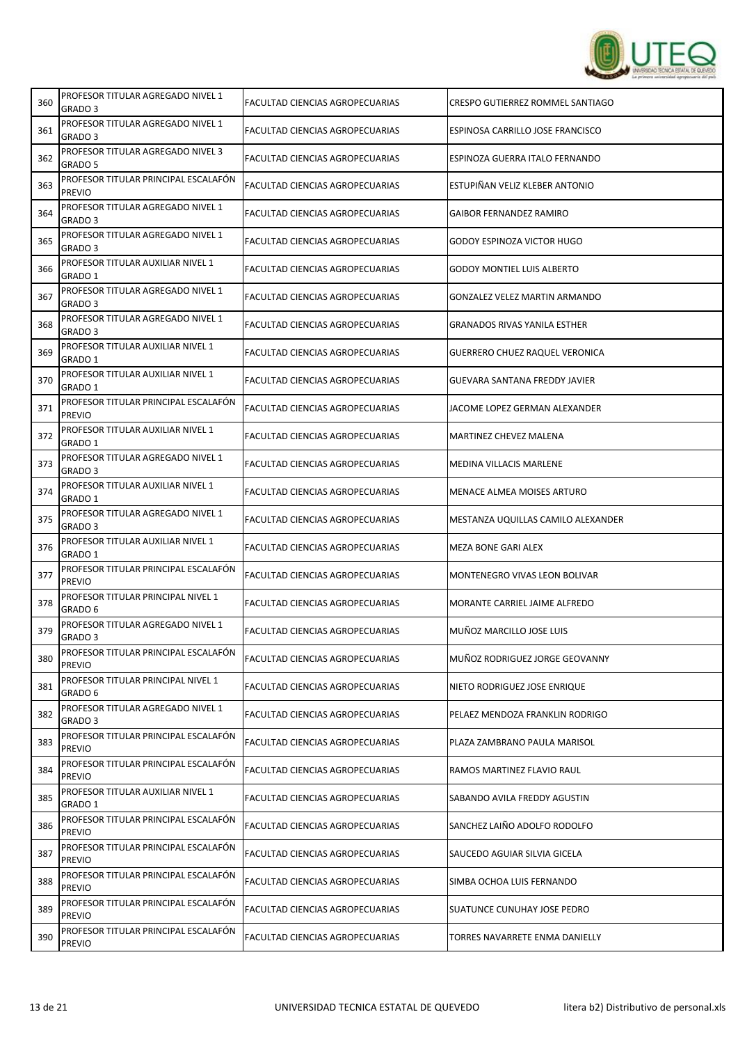

| 360 | PROFESOR TITULAR AGREGADO NIVEL 1<br>GRADO 3            | FACULTAD CIENCIAS AGROPECUARIAS        | CRESPO GUTIERREZ ROMMEL SANTIAGO      |
|-----|---------------------------------------------------------|----------------------------------------|---------------------------------------|
| 361 | PROFESOR TITULAR AGREGADO NIVEL 1<br>GRADO 3            | FACULTAD CIENCIAS AGROPECUARIAS        | ESPINOSA CARRILLO JOSE FRANCISCO      |
| 362 | PROFESOR TITULAR AGREGADO NIVEL 3<br>GRADO 5            | FACULTAD CIENCIAS AGROPECUARIAS        | ESPINOZA GUERRA ITALO FERNANDO        |
| 363 | PROFESOR TITULAR PRINCIPAL ESCALAFÓN<br><b>PREVIO</b>   | FACULTAD CIENCIAS AGROPECUARIAS        | ESTUPIÑAN VELIZ KLEBER ANTONIO        |
| 364 | PROFESOR TITULAR AGREGADO NIVEL 1<br>GRADO 3            | FACULTAD CIENCIAS AGROPECUARIAS        | <b>GAIBOR FERNANDEZ RAMIRO</b>        |
| 365 | PROFESOR TITULAR AGREGADO NIVEL 1<br>GRADO 3            | <b>FACULTAD CIENCIAS AGROPECUARIAS</b> | <b>GODOY ESPINOZA VICTOR HUGO</b>     |
| 366 | PROFESOR TITULAR AUXILIAR NIVEL 1<br>GRADO 1            | <b>FACULTAD CIENCIAS AGROPECUARIAS</b> | <b>GODOY MONTIEL LUIS ALBERTO</b>     |
| 367 | PROFESOR TITULAR AGREGADO NIVEL 1<br>GRADO 3            | FACULTAD CIENCIAS AGROPECUARIAS        | <b>GONZALEZ VELEZ MARTIN ARMANDO</b>  |
| 368 | PROFESOR TITULAR AGREGADO NIVEL 1<br>GRADO 3            | FACULTAD CIENCIAS AGROPECUARIAS        | <b>GRANADOS RIVAS YANILA ESTHER</b>   |
| 369 | PROFESOR TITULAR AUXILIAR NIVEL 1<br>GRADO 1            | FACULTAD CIENCIAS AGROPECUARIAS        | <b>GUERRERO CHUEZ RAQUEL VERONICA</b> |
| 370 | PROFESOR TITULAR AUXILIAR NIVEL 1<br>GRADO 1            | FACULTAD CIENCIAS AGROPECUARIAS        | GUEVARA SANTANA FREDDY JAVIER         |
| 371 | PROFESOR TITULAR PRINCIPAL ESCALAFON<br><b>PREVIO</b>   | FACULTAD CIENCIAS AGROPECUARIAS        | JACOME LOPEZ GERMAN ALEXANDER         |
| 372 | PROFESOR TITULAR AUXILIAR NIVEL 1<br>GRADO 1            | FACULTAD CIENCIAS AGROPECUARIAS        | MARTINEZ CHEVEZ MALENA                |
| 373 | PROFESOR TITULAR AGREGADO NIVEL 1<br>GRADO 3            | FACULTAD CIENCIAS AGROPECUARIAS        | MEDINA VILLACIS MARLENE               |
| 374 | PROFESOR TITULAR AUXILIAR NIVEL 1<br>GRADO 1            | FACULTAD CIENCIAS AGROPECUARIAS        | MENACE ALMEA MOISES ARTURO            |
| 375 | PROFESOR TITULAR AGREGADO NIVEL 1<br>GRADO 3            | FACULTAD CIENCIAS AGROPECUARIAS        | MESTANZA UQUILLAS CAMILO ALEXANDER    |
| 376 | PROFESOR TITULAR AUXILIAR NIVEL 1<br>GRADO 1            | FACULTAD CIENCIAS AGROPECUARIAS        | MEZA BONE GARI ALEX                   |
| 377 | PROFESOR TITULAR PRINCIPAL ESCALAFÓN<br><b>PREVIO</b>   | FACULTAD CIENCIAS AGROPECUARIAS        | MONTENEGRO VIVAS LEON BOLIVAR         |
| 378 | PROFESOR TITULAR PRINCIPAL NIVEL 1<br>GRADO 6           | FACULTAD CIENCIAS AGROPECUARIAS        | MORANTE CARRIEL JAIME ALFREDO         |
| 379 | PROFESOR TITULAR AGREGADO NIVEL 1<br>GRADO <sub>3</sub> | FACULTAD CIENCIAS AGROPECUARIAS        | MUÑOZ MARCILLO JOSE LUIS              |
| 380 | PROFESOR TITULAR PRINCIPAL ESCALAFÓN<br><b>PREVIO</b>   | FACULTAD CIENCIAS AGROPECUARIAS        | MUÑOZ RODRIGUEZ JORGE GEOVANNY        |
| 381 | PROFESOR TITULAR PRINCIPAL NIVEL 1<br>GRADO 6           | FACULTAD CIENCIAS AGROPECUARIAS        | NIETO RODRIGUEZ JOSE ENRIQUE          |
| 382 | PROFESOR TITULAR AGREGADO NIVEL 1<br>GRADO 3            | FACULTAD CIENCIAS AGROPECUARIAS        | PELAEZ MENDOZA FRANKLIN RODRIGO       |
| 383 | PROFESOR TITULAR PRINCIPAL ESCALAFÓN<br><b>PREVIO</b>   | FACULTAD CIENCIAS AGROPECUARIAS        | PLAZA ZAMBRANO PAULA MARISOL          |
| 384 | PROFESOR TITULAR PRINCIPAL ESCALAFÓN<br><b>PREVIO</b>   | FACULTAD CIENCIAS AGROPECUARIAS        | RAMOS MARTINEZ FLAVIO RAUL            |
| 385 | PROFESOR TITULAR AUXILIAR NIVEL 1<br>GRADO 1            | FACULTAD CIENCIAS AGROPECUARIAS        | SABANDO AVILA FREDDY AGUSTIN          |
| 386 | PROFESOR TITULAR PRINCIPAL ESCALAFÓN<br><b>PREVIO</b>   | FACULTAD CIENCIAS AGROPECUARIAS        | SANCHEZ LAIÑO ADOLFO RODOLFO          |
| 387 | PROFESOR TITULAR PRINCIPAL ESCALAFÓN<br><b>PREVIO</b>   | FACULTAD CIENCIAS AGROPECUARIAS        | SAUCEDO AGUIAR SILVIA GICELA          |
| 388 | PROFESOR TITULAR PRINCIPAL ESCALAFÓN<br><b>PREVIO</b>   | FACULTAD CIENCIAS AGROPECUARIAS        | SIMBA OCHOA LUIS FERNANDO             |
| 389 | PROFESOR TITULAR PRINCIPAL ESCALAFÓN<br><b>PREVIO</b>   | FACULTAD CIENCIAS AGROPECUARIAS        | SUATUNCE CUNUHAY JOSE PEDRO           |
| 390 | PROFESOR TITULAR PRINCIPAL ESCALAFÓN<br><b>PREVIO</b>   | FACULTAD CIENCIAS AGROPECUARIAS        | TORRES NAVARRETE ENMA DANIELLY        |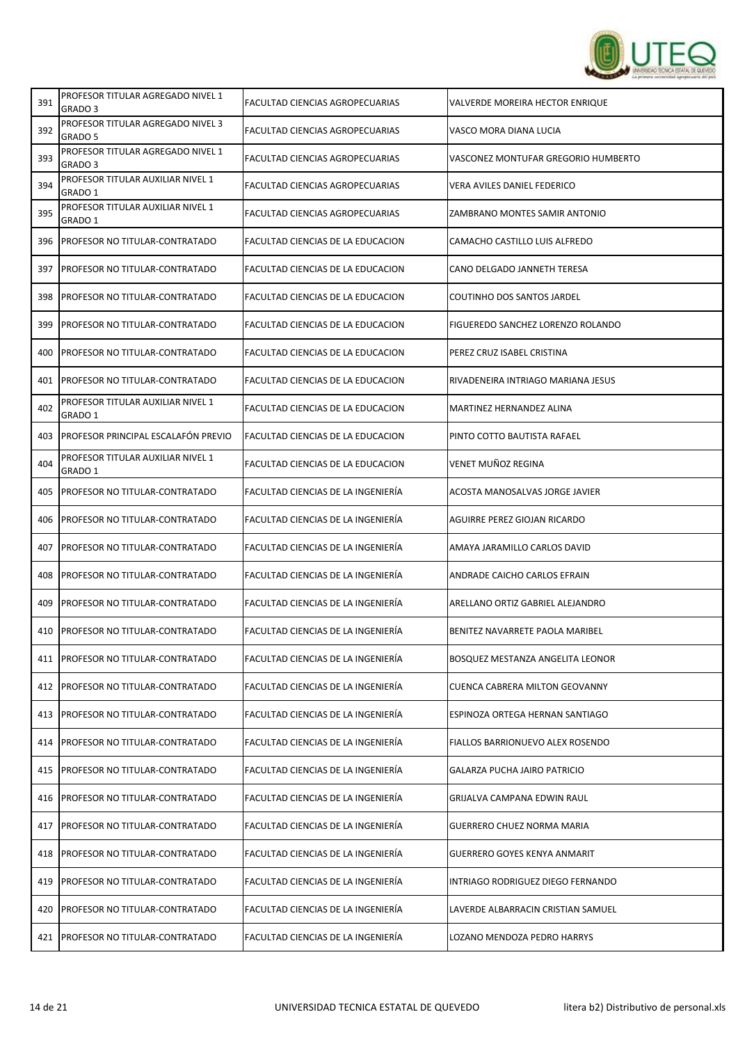

| 391 | PROFESOR TITULAR AGREGADO NIVEL 1<br>GRADO 3 | FACULTAD CIENCIAS AGROPECUARIAS    | VALVERDE MOREIRA HECTOR ENRIQUE     |
|-----|----------------------------------------------|------------------------------------|-------------------------------------|
| 392 | PROFESOR TITULAR AGREGADO NIVEL 3<br>GRADO 5 | FACULTAD CIENCIAS AGROPECUARIAS    | VASCO MORA DIANA LUCIA              |
| 393 | PROFESOR TITULAR AGREGADO NIVEL 1<br>GRADO 3 | FACULTAD CIENCIAS AGROPECUARIAS    | VASCONEZ MONTUFAR GREGORIO HUMBERTO |
| 394 | PROFESOR TITULAR AUXILIAR NIVEL 1<br>GRADO 1 | FACULTAD CIENCIAS AGROPECUARIAS    | <b>VERA AVILES DANIEL FEDERICO</b>  |
| 395 | PROFESOR TITULAR AUXILIAR NIVEL 1<br>GRADO 1 | FACULTAD CIENCIAS AGROPECUARIAS    | ZAMBRANO MONTES SAMIR ANTONIO       |
| 396 | <b>PROFESOR NO TITULAR-CONTRATADO</b>        | FACULTAD CIENCIAS DE LA EDUCACION  | CAMACHO CASTILLO LUIS ALFREDO       |
| 397 | PROFESOR NO TITULAR-CONTRATADO               | FACULTAD CIENCIAS DE LA EDUCACION  | CANO DELGADO JANNETH TERESA         |
| 398 | PROFESOR NO TITULAR-CONTRATADO               | FACULTAD CIENCIAS DE LA EDUCACION  | COUTINHO DOS SANTOS JARDEL          |
| 399 | <b>PROFESOR NO TITULAR-CONTRATADO</b>        | FACULTAD CIENCIAS DE LA EDUCACION  | FIGUEREDO SANCHEZ LORENZO ROLANDO   |
| 400 | <b>PROFESOR NO TITULAR-CONTRATADO</b>        | FACULTAD CIENCIAS DE LA EDUCACION  | PEREZ CRUZ ISABEL CRISTINA          |
| 401 | <b>PROFESOR NO TITULAR-CONTRATADO</b>        | FACULTAD CIENCIAS DE LA EDUCACION  | RIVADENEIRA INTRIAGO MARIANA JESUS  |
| 402 | PROFESOR TITULAR AUXILIAR NIVEL 1<br>GRADO 1 | FACULTAD CIENCIAS DE LA EDUCACION  | MARTINEZ HERNANDEZ ALINA            |
| 403 | PROFESOR PRINCIPAL ESCALAFÓN PREVIO          | FACULTAD CIENCIAS DE LA EDUCACION  | PINTO COTTO BAUTISTA RAFAEL         |
| 404 | PROFESOR TITULAR AUXILIAR NIVEL 1<br>GRADO 1 | FACULTAD CIENCIAS DE LA EDUCACION  | VENET MUÑOZ REGINA                  |
| 405 | PROFESOR NO TITULAR-CONTRATADO               | FACULTAD CIENCIAS DE LA INGENIERÍA | ACOSTA MANOSALVAS JORGE JAVIER      |
| 406 | PROFESOR NO TITULAR-CONTRATADO               | FACULTAD CIENCIAS DE LA INGENIERÍA | AGUIRRE PEREZ GIOJAN RICARDO        |
| 407 | <b>PROFESOR NO TITULAR-CONTRATADO</b>        | FACULTAD CIENCIAS DE LA INGENIERÍA | AMAYA JARAMILLO CARLOS DAVID        |
| 408 | PROFESOR NO TITULAR-CONTRATADO               | FACULTAD CIENCIAS DE LA INGENIERÍA | ANDRADE CAICHO CARLOS EFRAIN        |
| 409 | PROFESOR NO TITULAR-CONTRATADO               | FACULTAD CIENCIAS DE LA INGENIERÍA | ARELLANO ORTIZ GABRIEL ALEJANDRO    |
| 410 | PROFESOR NO TITULAR-CONTRATADO               | FACULTAD CIENCIAS DE LA INGENIERÍA | BENITEZ NAVARRETE PAOLA MARIBEL     |
| 411 | PROFESOR NO TITULAR-CONTRATADO               | FACULTAD CIENCIAS DE LA INGENIERÍA | BOSQUEZ MESTANZA ANGELITA LEONOR    |
| 412 | <b>PROFESOR NO TITULAR-CONTRATADO</b>        | FACULTAD CIENCIAS DE LA INGENIERÍA | CUENCA CABRERA MILTON GEOVANNY      |
| 413 | PROFESOR NO TITULAR-CONTRATADO               | FACULTAD CIENCIAS DE LA INGENIERÍA | ESPINOZA ORTEGA HERNAN SANTIAGO     |
| 414 | PROFESOR NO TITULAR-CONTRATADO               | FACULTAD CIENCIAS DE LA INGENIERÍA | FIALLOS BARRIONUEVO ALEX ROSENDO    |
| 415 | PROFESOR NO TITULAR-CONTRATADO               | FACULTAD CIENCIAS DE LA INGENIERÍA | <b>GALARZA PUCHA JAIRO PATRICIO</b> |
| 416 | PROFESOR NO TITULAR-CONTRATADO               | FACULTAD CIENCIAS DE LA INGENIERÍA | GRIJALVA CAMPANA EDWIN RAUL         |
| 417 | PROFESOR NO TITULAR-CONTRATADO               | FACULTAD CIENCIAS DE LA INGENIERÍA | <b>GUERRERO CHUEZ NORMA MARIA</b>   |
| 418 | PROFESOR NO TITULAR-CONTRATADO               | FACULTAD CIENCIAS DE LA INGENIERÍA | <b>GUERRERO GOYES KENYA ANMARIT</b> |
| 419 | PROFESOR NO TITULAR-CONTRATADO               | FACULTAD CIENCIAS DE LA INGENIERÍA | INTRIAGO RODRIGUEZ DIEGO FERNANDO   |
| 420 | <b>PROFESOR NO TITULAR-CONTRATADO</b>        | FACULTAD CIENCIAS DE LA INGENIERÍA | LAVERDE ALBARRACIN CRISTIAN SAMUEL  |
| 421 | PROFESOR NO TITULAR-CONTRATADO               | FACULTAD CIENCIAS DE LA INGENIERÍA | LOZANO MENDOZA PEDRO HARRYS         |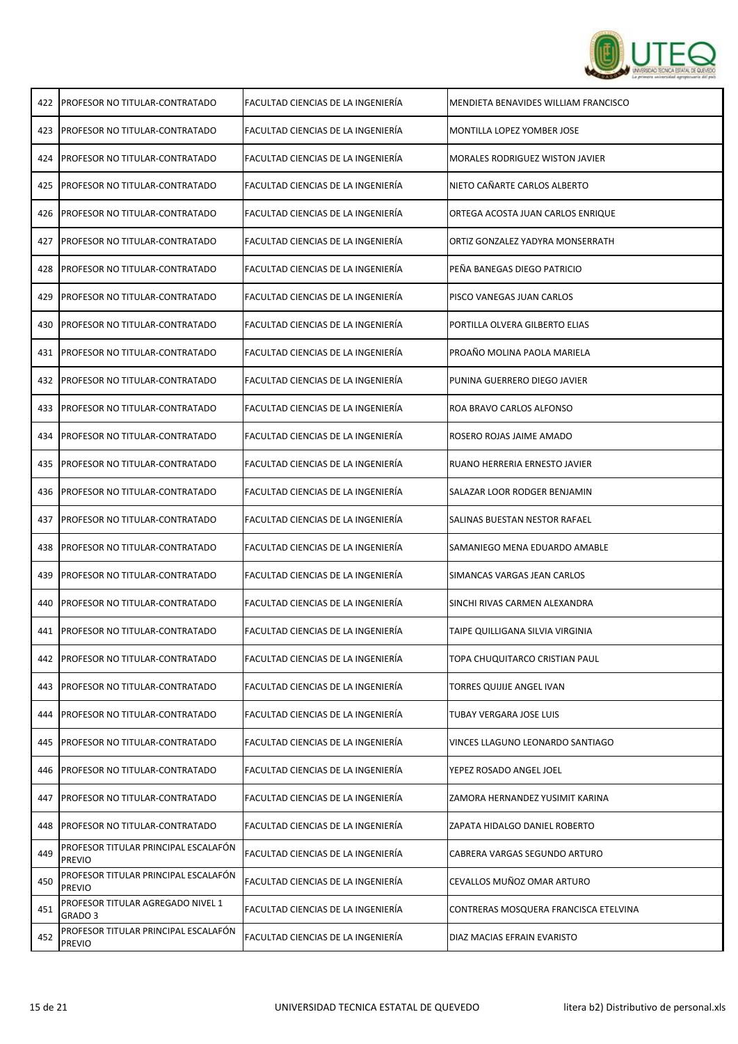

| 422 | <b>PROFESOR NO TITULAR-CONTRATADO</b>                 | FACULTAD CIENCIAS DE LA INGENIERÍA | MENDIETA BENAVIDES WILLIAM FRANCISCO   |
|-----|-------------------------------------------------------|------------------------------------|----------------------------------------|
| 423 | <b>PROFESOR NO TITULAR-CONTRATADO</b>                 | FACULTAD CIENCIAS DE LA INGENIERÍA | MONTILLA LOPEZ YOMBER JOSE             |
| 424 | PROFESOR NO TITULAR-CONTRATADO                        | FACULTAD CIENCIAS DE LA INGENIERÍA | <b>MORALES RODRIGUEZ WISTON JAVIER</b> |
| 425 | PROFESOR NO TITULAR-CONTRATADO                        | FACULTAD CIENCIAS DE LA INGENIERÍA | NIETO CAÑARTE CARLOS ALBERTO           |
| 426 | PROFESOR NO TITULAR-CONTRATADO                        | FACULTAD CIENCIAS DE LA INGENIERÍA | ORTEGA ACOSTA JUAN CARLOS ENRIQUE      |
| 427 | PROFESOR NO TITULAR-CONTRATADO                        | FACULTAD CIENCIAS DE LA INGENIERÍA | ORTIZ GONZALEZ YADYRA MONSERRATH       |
| 428 | PROFESOR NO TITULAR-CONTRATADO                        | FACULTAD CIENCIAS DE LA INGENIERÍA | PEÑA BANEGAS DIEGO PATRICIO            |
| 429 | PROFESOR NO TITULAR-CONTRATADO                        | FACULTAD CIENCIAS DE LA INGENIERÍA | PISCO VANEGAS JUAN CARLOS              |
| 430 | PROFESOR NO TITULAR-CONTRATADO                        | FACULTAD CIENCIAS DE LA INGENIERÍA | PORTILLA OLVERA GILBERTO ELIAS         |
| 431 | <b>PROFESOR NO TITULAR-CONTRATADO</b>                 | FACULTAD CIENCIAS DE LA INGENIERÍA | PROAÑO MOLINA PAOLA MARIELA            |
| 432 | PROFESOR NO TITULAR-CONTRATADO                        | FACULTAD CIENCIAS DE LA INGENIERÍA | PUNINA GUERRERO DIEGO JAVIER           |
| 433 | PROFESOR NO TITULAR-CONTRATADO                        | FACULTAD CIENCIAS DE LA INGENIERÍA | ROA BRAVO CARLOS ALFONSO               |
| 434 | PROFESOR NO TITULAR-CONTRATADO                        | FACULTAD CIENCIAS DE LA INGENIERÍA | ROSERO ROJAS JAIME AMADO               |
| 435 | PROFESOR NO TITULAR-CONTRATADO                        | FACULTAD CIENCIAS DE LA INGENIERÍA | RUANO HERRERIA ERNESTO JAVIER          |
| 436 | PROFESOR NO TITULAR-CONTRATADO                        | FACULTAD CIENCIAS DE LA INGENIERÍA | SALAZAR LOOR RODGER BENJAMIN           |
| 437 | PROFESOR NO TITULAR-CONTRATADO                        | FACULTAD CIENCIAS DE LA INGENIERÍA | SALINAS BUESTAN NESTOR RAFAEL          |
| 438 | PROFESOR NO TITULAR-CONTRATADO                        | FACULTAD CIENCIAS DE LA INGENIERÍA | SAMANIEGO MENA EDUARDO AMABLE          |
| 439 | PROFESOR NO TITULAR-CONTRATADO                        | FACULTAD CIENCIAS DE LA INGENIERÍA | SIMANCAS VARGAS JEAN CARLOS            |
| 440 | PROFESOR NO TITULAR-CONTRATADO                        | FACULTAD CIENCIAS DE LA INGENIERÍA | SINCHI RIVAS CARMEN ALEXANDRA          |
| 441 | PROFESOR NO TITULAR-CONTRATADO                        | FACULTAD CIENCIAS DE LA INGENIERÍA | TAIPE QUILLIGANA SILVIA VIRGINIA       |
| 442 | <b>PROFESOR NO TITULAR-CONTRATADO</b>                 | FACULTAD CIENCIAS DE LA INGENIERÍA | TOPA CHUQUITARCO CRISTIAN PAUL         |
| 443 | PROFESOR NO TITULAR-CONTRATADO                        | FACULTAD CIENCIAS DE LA INGENIERÍA | TORRES QUIJIJE ANGEL IVAN              |
| 444 | PROFESOR NO TITULAR-CONTRATADO                        | FACULTAD CIENCIAS DE LA INGENIERÍA | TUBAY VERGARA JOSE LUIS                |
| 445 | PROFESOR NO TITULAR-CONTRATADO                        | FACULTAD CIENCIAS DE LA INGENIERÍA | VINCES LLAGUNO LEONARDO SANTIAGO       |
| 446 | PROFESOR NO TITULAR-CONTRATADO                        | FACULTAD CIENCIAS DE LA INGENIERÍA | YEPEZ ROSADO ANGEL JOEL                |
| 447 | PROFESOR NO TITULAR-CONTRATADO                        | FACULTAD CIENCIAS DE LA INGENIERÍA | ZAMORA HERNANDEZ YUSIMIT KARINA        |
| 448 | PROFESOR NO TITULAR-CONTRATADO                        | FACULTAD CIENCIAS DE LA INGENIERÍA | ZAPATA HIDALGO DANIEL ROBERTO          |
| 449 | PROFESOR TITULAR PRINCIPAL ESCALAFÓN<br><b>PREVIO</b> | FACULTAD CIENCIAS DE LA INGENIERÍA | CABRERA VARGAS SEGUNDO ARTURO          |
| 450 | PROFESOR TITULAR PRINCIPAL ESCALAFÓN<br><b>PREVIO</b> | FACULTAD CIENCIAS DE LA INGENIERÍA | CEVALLOS MUÑOZ OMAR ARTURO             |
| 451 | PROFESOR TITULAR AGREGADO NIVEL 1<br>GRADO 3          | FACULTAD CIENCIAS DE LA INGENIERÍA | CONTRERAS MOSQUERA FRANCISCA ETELVINA  |
| 452 | PROFESOR TITULAR PRINCIPAL ESCALAFÓN<br><b>PREVIO</b> | FACULTAD CIENCIAS DE LA INGENIERÍA | DIAZ MACIAS EFRAIN EVARISTO            |
|     |                                                       |                                    |                                        |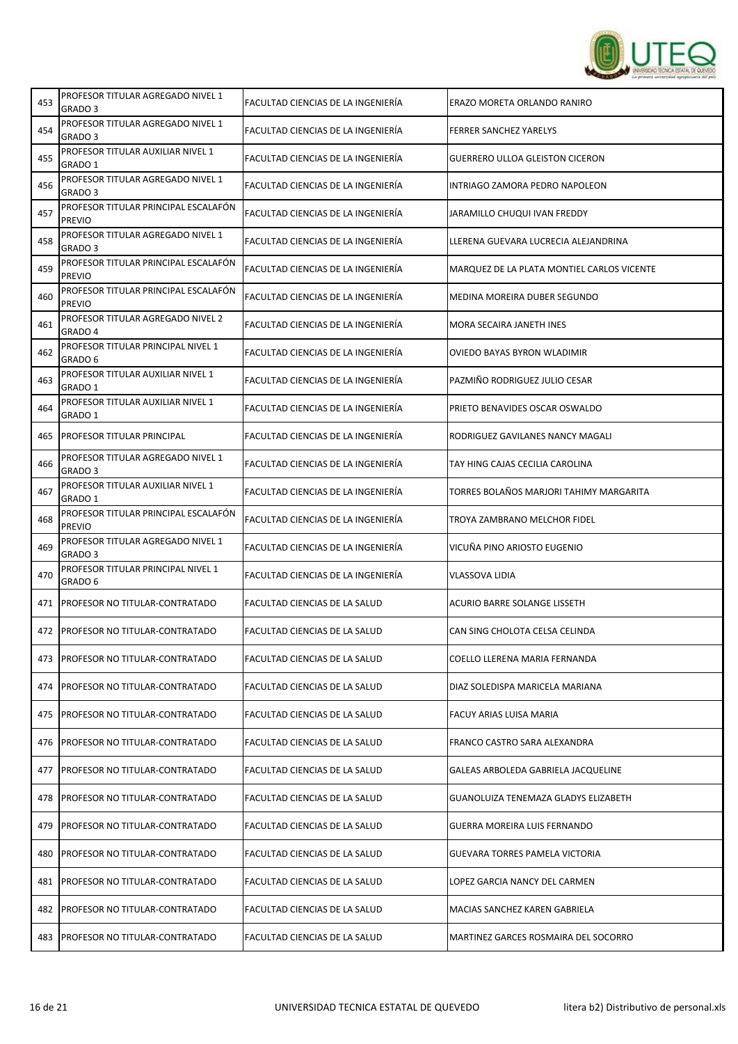

| 453 | PROFESOR TITULAR AGREGADO NIVEL 1<br>GRADO 3            | FACULTAD CIENCIAS DE LA INGENIERÍA | ERAZO MORETA ORLANDO RANIRO                |
|-----|---------------------------------------------------------|------------------------------------|--------------------------------------------|
| 454 | PROFESOR TITULAR AGREGADO NIVEL 1<br>GRADO 3            | FACULTAD CIENCIAS DE LA INGENIERÍA | <b>FERRER SANCHEZ YARELYS</b>              |
| 455 | PROFESOR TITULAR AUXILIAR NIVEL 1<br>GRADO 1            | FACULTAD CIENCIAS DE LA INGENIERÍA | <b>GUERRERO ULLOA GLEISTON CICERON</b>     |
| 456 | PROFESOR TITULAR AGREGADO NIVEL 1<br>GRADO 3            | FACULTAD CIENCIAS DE LA INGENIERÍA | INTRIAGO ZAMORA PEDRO NAPOLEON             |
| 457 | PROFESOR TITULAR PRINCIPAL ESCALAFÓN<br><b>PREVIO</b>   | FACULTAD CIENCIAS DE LA INGENIERÍA | JARAMILLO CHUQUI IVAN FREDDY               |
| 458 | PROFESOR TITULAR AGREGADO NIVEL 1<br>GRADO <sub>3</sub> | FACULTAD CIENCIAS DE LA INGENIERÍA | LLERENA GUEVARA LUCRECIA ALEJANDRINA       |
| 459 | PROFESOR TITULAR PRINCIPAL ESCALAFÓN<br><b>PREVIO</b>   | FACULTAD CIENCIAS DE LA INGENIERÍA | MARQUEZ DE LA PLATA MONTIEL CARLOS VICENTE |
| 460 | PROFESOR TITULAR PRINCIPAL ESCALAFÓN<br><b>PREVIO</b>   | FACULTAD CIENCIAS DE LA INGENIERÍA | MEDINA MOREIRA DUBER SEGUNDO               |
| 461 | PROFESOR TITULAR AGREGADO NIVEL 2<br>GRADO 4            | FACULTAD CIENCIAS DE LA INGENIERÍA | MORA SECAIRA JANETH INES                   |
| 462 | PROFESOR TITULAR PRINCIPAL NIVEL 1<br>GRADO 6           | FACULTAD CIENCIAS DE LA INGENIERÍA | OVIEDO BAYAS BYRON WLADIMIR                |
| 463 | PROFESOR TITULAR AUXILIAR NIVEL 1<br>GRADO 1            | FACULTAD CIENCIAS DE LA INGENIERÍA | PAZMIÑO RODRIGUEZ JULIO CESAR              |
| 464 | PROFESOR TITULAR AUXILIAR NIVEL 1<br>GRADO 1            | FACULTAD CIENCIAS DE LA INGENIERÍA | PRIETO BENAVIDES OSCAR OSWALDO             |
| 465 | <b>PROFESOR TITULAR PRINCIPAL</b>                       | FACULTAD CIENCIAS DE LA INGENIERÍA | RODRIGUEZ GAVILANES NANCY MAGALI           |
| 466 | PROFESOR TITULAR AGREGADO NIVEL 1<br>GRADO 3            | FACULTAD CIENCIAS DE LA INGENIERÍA | TAY HING CAJAS CECILIA CAROLINA            |
| 467 | PROFESOR TITULAR AUXILIAR NIVEL 1<br>GRADO 1            | FACULTAD CIENCIAS DE LA INGENIERÍA | TORRES BOLAÑOS MARJORI TAHIMY MARGARITA    |
| 468 | PROFESOR TITULAR PRINCIPAL ESCALAFÓN<br><b>PREVIO</b>   | FACULTAD CIENCIAS DE LA INGENIERÍA | TROYA ZAMBRANO MELCHOR FIDEL               |
| 469 | PROFESOR TITULAR AGREGADO NIVEL 1<br>GRADO <sub>3</sub> | FACULTAD CIENCIAS DE LA INGENIERÍA | VICUÑA PINO ARIOSTO EUGENIO                |
| 470 | PROFESOR TITULAR PRINCIPAL NIVEL 1<br>GRADO 6           | FACULTAD CIENCIAS DE LA INGENIERÍA | <b>VLASSOVA LIDIA</b>                      |
| 471 | <b>PROFESOR NO TITULAR-CONTRATADO</b>                   | FACULTAD CIENCIAS DE LA SALUD      | ACURIO BARRE SOLANGE LISSETH               |
| 472 | <b>PROFESOR NO TITULAR-CONTRATADO</b>                   | FACULTAD CIENCIAS DE LA SALUD      | CAN SING CHOLOTA CELSA CELINDA             |
| 473 | <b>PROFESOR NO TITULAR-CONTRATADO</b>                   | FACULTAD CIENCIAS DE LA SALUD      | COELLO LLERENA MARIA FERNANDA              |
| 474 | <b>PROFESOR NO TITULAR-CONTRATADO</b>                   | FACULTAD CIENCIAS DE LA SALUD      | DIAZ SOLEDISPA MARICELA MARIANA            |
| 475 | <b>PROFESOR NO TITULAR-CONTRATADO</b>                   | FACULTAD CIENCIAS DE LA SALUD      | FACUY ARIAS LUISA MARIA                    |
| 476 | PROFESOR NO TITULAR-CONTRATADO                          | FACULTAD CIENCIAS DE LA SALUD      | FRANCO CASTRO SARA ALEXANDRA               |
| 477 | PROFESOR NO TITULAR-CONTRATADO                          | FACULTAD CIENCIAS DE LA SALUD      | GALEAS ARBOLEDA GABRIELA JACQUELINE        |
| 478 | PROFESOR NO TITULAR-CONTRATADO                          | FACULTAD CIENCIAS DE LA SALUD      | GUANOLUIZA TENEMAZA GLADYS ELIZABETH       |
| 479 | PROFESOR NO TITULAR-CONTRATADO                          | FACULTAD CIENCIAS DE LA SALUD      | GUERRA MOREIRA LUIS FERNANDO               |
| 480 | PROFESOR NO TITULAR-CONTRATADO                          | FACULTAD CIENCIAS DE LA SALUD      | GUEVARA TORRES PAMELA VICTORIA             |
| 481 | PROFESOR NO TITULAR-CONTRATADO                          | FACULTAD CIENCIAS DE LA SALUD      | LOPEZ GARCIA NANCY DEL CARMEN              |
| 482 | <b>PROFESOR NO TITULAR-CONTRATADO</b>                   | FACULTAD CIENCIAS DE LA SALUD      | MACIAS SANCHEZ KAREN GABRIELA              |
| 483 | <b>PROFESOR NO TITULAR-CONTRATADO</b>                   | FACULTAD CIENCIAS DE LA SALUD      | MARTINEZ GARCES ROSMAIRA DEL SOCORRO       |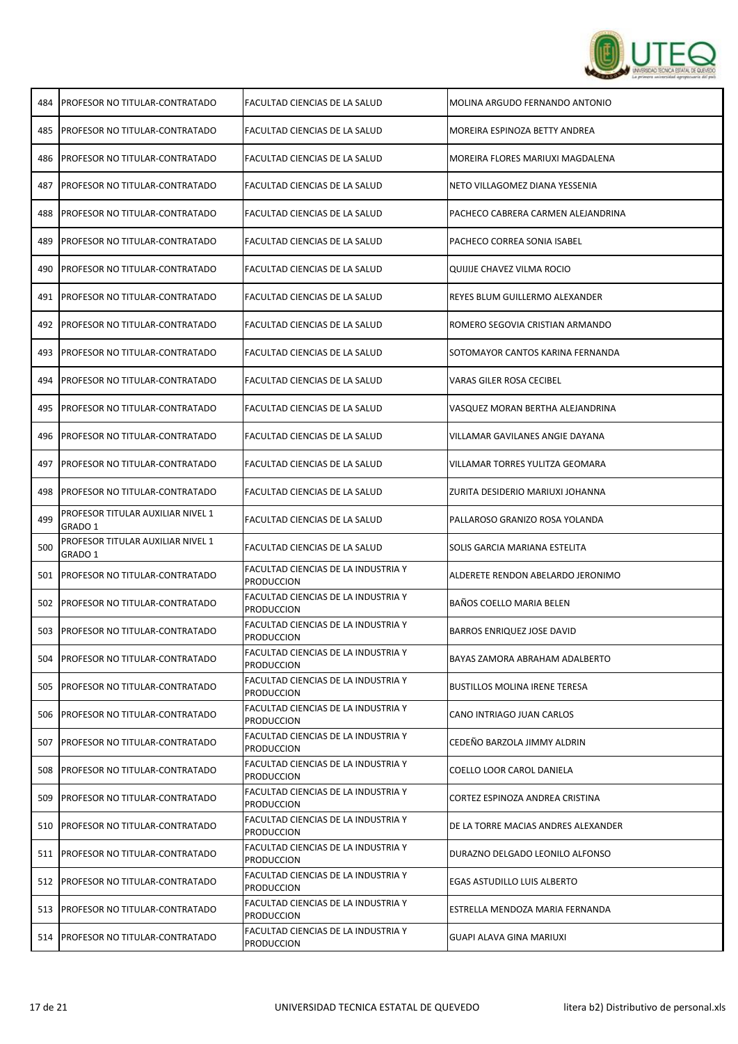

| 484 | <b>PROFESOR NO TITULAR-CONTRATADO</b>        | FACULTAD CIENCIAS DE LA SALUD                            | MOLINA ARGUDO FERNANDO ANTONIO       |
|-----|----------------------------------------------|----------------------------------------------------------|--------------------------------------|
| 485 | <b>IPROFESOR NO TITULAR-CONTRATADO</b>       | FACULTAD CIENCIAS DE LA SALUD                            | MOREIRA ESPINOZA BETTY ANDREA        |
| 486 | PROFESOR NO TITULAR-CONTRATADO               | FACULTAD CIENCIAS DE LA SALUD                            | MOREIRA FLORES MARIUXI MAGDALENA     |
| 487 | PROFESOR NO TITULAR-CONTRATADO               | FACULTAD CIENCIAS DE LA SALUD                            | NETO VILLAGOMEZ DIANA YESSENIA       |
| 488 | PROFESOR NO TITULAR-CONTRATADO               | FACULTAD CIENCIAS DE LA SALUD                            | PACHECO CABRERA CARMEN ALEJANDRINA   |
| 489 | PROFESOR NO TITULAR-CONTRATADO               | FACULTAD CIENCIAS DE LA SALUD                            | PACHECO CORREA SONIA ISABEL          |
| 490 | PROFESOR NO TITULAR-CONTRATADO               | FACULTAD CIENCIAS DE LA SALUD                            | QUIJIJE CHAVEZ VILMA ROCIO           |
| 491 | PROFESOR NO TITULAR-CONTRATADO               | FACULTAD CIENCIAS DE LA SALUD                            | REYES BLUM GUILLERMO ALEXANDER       |
| 492 | <b>IPROFESOR NO TITULAR-CONTRATADO</b>       | FACULTAD CIENCIAS DE LA SALUD                            | ROMERO SEGOVIA CRISTIAN ARMANDO      |
| 493 | <b>IPROFESOR NO TITULAR-CONTRATADO</b>       | FACULTAD CIENCIAS DE LA SALUD                            | SOTOMAYOR CANTOS KARINA FERNANDA     |
| 494 | PROFESOR NO TITULAR-CONTRATADO               | FACULTAD CIENCIAS DE LA SALUD                            | VARAS GILER ROSA CECIBEL             |
| 495 | PROFESOR NO TITULAR-CONTRATADO               | FACULTAD CIENCIAS DE LA SALUD                            | VASQUEZ MORAN BERTHA ALEJANDRINA     |
| 496 | PROFESOR NO TITULAR-CONTRATADO               | FACULTAD CIENCIAS DE LA SALUD                            | VILLAMAR GAVILANES ANGIE DAYANA      |
| 497 | <b>PROFESOR NO TITULAR-CONTRATADO</b>        | FACULTAD CIENCIAS DE LA SALUD                            | VILLAMAR TORRES YULITZA GEOMARA      |
| 498 | PROFESOR NO TITULAR-CONTRATADO               | FACULTAD CIENCIAS DE LA SALUD                            | ZURITA DESIDERIO MARIUXI JOHANNA     |
| 499 | PROFESOR TITULAR AUXILIAR NIVEL 1<br>GRADO 1 | FACULTAD CIENCIAS DE LA SALUD                            | PALLAROSO GRANIZO ROSA YOLANDA       |
| 500 | PROFESOR TITULAR AUXILIAR NIVEL 1<br>GRADO 1 | FACULTAD CIENCIAS DE LA SALUD                            | SOLIS GARCIA MARIANA ESTELITA        |
| 501 | <b>PROFESOR NO TITULAR-CONTRATADO</b>        | FACULTAD CIENCIAS DE LA INDUSTRIA Y<br><b>PRODUCCION</b> | ALDERETE RENDON ABELARDO JERONIMO    |
| 502 | PROFESOR NO TITULAR-CONTRATADO               | FACULTAD CIENCIAS DE LA INDUSTRIA Y<br>Produccion        | BAÑOS COELLO MARIA BELEN             |
| 503 | PROFESOR NO TITULAR-CONTRATADO               | FACULTAD CIENCIAS DE LA INDUSTRIA Y<br>PRODUCCION        | BARROS ENRIQUEZ JOSE DAVID           |
| 504 | <b>PROFESOR NO TITULAR-CONTRATADO</b>        | FACULTAD CIENCIAS DE LA INDUSTRIA Y<br><b>PRODUCCION</b> | BAYAS ZAMORA ABRAHAM ADALBERTO       |
| 505 | <b>PROFESOR NO TITULAR-CONTRATADO</b>        | FACULTAD CIENCIAS DE LA INDUSTRIA Y<br><b>PRODUCCION</b> | <b>BUSTILLOS MOLINA IRENE TERESA</b> |
| 506 | PROFESOR NO TITULAR-CONTRATADO               | FACULTAD CIENCIAS DE LA INDUSTRIA Y<br><b>PRODUCCION</b> | CANO INTRIAGO JUAN CARLOS            |
| 507 | <b>PROFESOR NO TITULAR-CONTRATADO</b>        | FACULTAD CIENCIAS DE LA INDUSTRIA Y<br>Produccion        | CEDEÑO BARZOLA JIMMY ALDRIN          |
| 508 | <b>PROFESOR NO TITULAR-CONTRATADO</b>        | FACULTAD CIENCIAS DE LA INDUSTRIA Y<br><b>PRODUCCION</b> | COELLO LOOR CAROL DANIELA            |
| 509 | <b>PROFESOR NO TITULAR-CONTRATADO</b>        | FACULTAD CIENCIAS DE LA INDUSTRIA Y<br><b>PRODUCCION</b> | CORTEZ ESPINOZA ANDREA CRISTINA      |
| 510 | PROFESOR NO TITULAR-CONTRATADO               | FACULTAD CIENCIAS DE LA INDUSTRIA Y<br><b>PRODUCCION</b> | DE LA TORRE MACIAS ANDRES ALEXANDER  |
| 511 | <b>PROFESOR NO TITULAR-CONTRATADO</b>        | FACULTAD CIENCIAS DE LA INDUSTRIA Y<br><b>PRODUCCION</b> | DURAZNO DELGADO LEONILO ALFONSO      |
|     | 512 PROFESOR NO TITULAR-CONTRATADO           | FACULTAD CIENCIAS DE LA INDUSTRIA Y<br><b>PRODUCCION</b> | EGAS ASTUDILLO LUIS ALBERTO          |
| 513 | <b>PROFESOR NO TITULAR-CONTRATADO</b>        | FACULTAD CIENCIAS DE LA INDUSTRIA Y<br><b>PRODUCCION</b> | ESTRELLA MENDOZA MARIA FERNANDA      |
| 514 | <b>PROFESOR NO TITULAR-CONTRATADO</b>        | FACULTAD CIENCIAS DE LA INDUSTRIA Y<br><b>PRODUCCION</b> | GUAPI ALAVA GINA MARIUXI             |
|     |                                              |                                                          |                                      |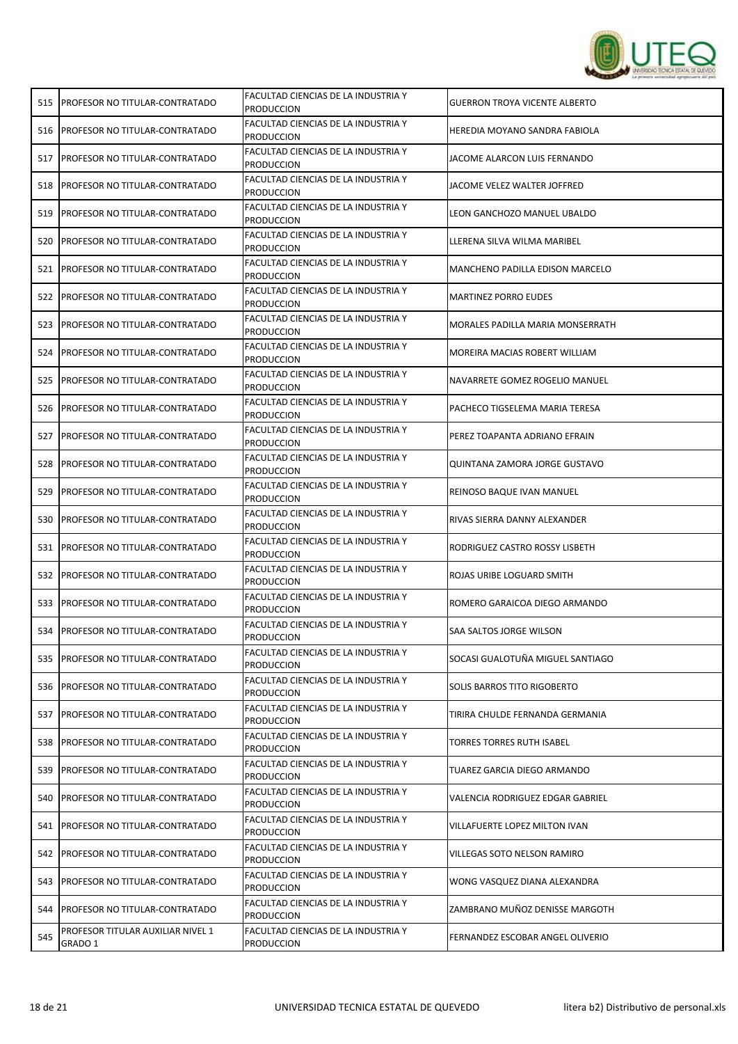

| 515 | <b>PROFESOR NO TITULAR-CONTRATADO</b>        | FACULTAD CIENCIAS DE LA INDUSTRIA Y<br><b>PRODUCCION</b> | <b>GUERRON TROYA VICENTE ALBERTO</b> |
|-----|----------------------------------------------|----------------------------------------------------------|--------------------------------------|
| 516 | <b>PROFESOR NO TITULAR-CONTRATADO</b>        | FACULTAD CIENCIAS DE LA INDUSTRIA Y<br><b>PRODUCCION</b> | HEREDIA MOYANO SANDRA FABIOLA        |
| 517 | <b>PROFESOR NO TITULAR-CONTRATADO</b>        | FACULTAD CIENCIAS DE LA INDUSTRIA Y<br><b>PRODUCCION</b> | JACOME ALARCON LUIS FERNANDO         |
| 518 | <b>PROFESOR NO TITULAR-CONTRATADO</b>        | FACULTAD CIENCIAS DE LA INDUSTRIA Y<br><b>PRODUCCION</b> | JACOME VELEZ WALTER JOFFRED          |
| 519 | PROFESOR NO TITULAR-CONTRATADO               | FACULTAD CIENCIAS DE LA INDUSTRIA Y<br><b>PRODUCCION</b> | LEON GANCHOZO MANUEL UBALDO          |
| 520 | PROFESOR NO TITULAR-CONTRATADO               | FACULTAD CIENCIAS DE LA INDUSTRIA Y<br><b>PRODUCCION</b> | LLERENA SILVA WILMA MARIBEL          |
| 521 | <b>PROFESOR NO TITULAR-CONTRATADO</b>        | FACULTAD CIENCIAS DE LA INDUSTRIA Y<br><b>PRODUCCION</b> | MANCHENO PADILLA EDISON MARCELO      |
| 522 | <b>PROFESOR NO TITULAR-CONTRATADO</b>        | FACULTAD CIENCIAS DE LA INDUSTRIA Y<br><b>PRODUCCION</b> | <b>MARTINEZ PORRO EUDES</b>          |
| 523 | PROFESOR NO TITULAR-CONTRATADO               | FACULTAD CIENCIAS DE LA INDUSTRIA Y<br><b>PRODUCCION</b> | MORALES PADILLA MARIA MONSERRATH     |
| 524 | <b>PROFESOR NO TITULAR-CONTRATADO</b>        | FACULTAD CIENCIAS DE LA INDUSTRIA Y<br><b>PRODUCCION</b> | MOREIRA MACIAS ROBERT WILLIAM        |
| 525 | <b>PROFESOR NO TITULAR-CONTRATADO</b>        | FACULTAD CIENCIAS DE LA INDUSTRIA Y<br><b>PRODUCCION</b> | NAVARRETE GOMEZ ROGELIO MANUEL       |
| 526 | <b>PROFESOR NO TITULAR-CONTRATADO</b>        | FACULTAD CIENCIAS DE LA INDUSTRIA Y<br><b>PRODUCCION</b> | PACHECO TIGSELEMA MARIA TERESA       |
| 527 | <b>IPROFESOR NO TITULAR-CONTRATADO</b>       | FACULTAD CIENCIAS DE LA INDUSTRIA Y<br><b>PRODUCCION</b> | PEREZ TOAPANTA ADRIANO EFRAIN        |
| 528 | PROFESOR NO TITULAR-CONTRATADO               | FACULTAD CIENCIAS DE LA INDUSTRIA Y<br><b>PRODUCCION</b> | QUINTANA ZAMORA JORGE GUSTAVO        |
| 529 | <b>PROFESOR NO TITULAR-CONTRATADO</b>        | FACULTAD CIENCIAS DE LA INDUSTRIA Y<br><b>PRODUCCION</b> | REINOSO BAQUE IVAN MANUEL            |
| 530 | PROFESOR NO TITULAR-CONTRATADO               | FACULTAD CIENCIAS DE LA INDUSTRIA Y<br><b>PRODUCCION</b> | RIVAS SIERRA DANNY ALEXANDER         |
| 531 | <b>PROFESOR NO TITULAR-CONTRATADO</b>        | FACULTAD CIENCIAS DE LA INDUSTRIA Y<br><b>PRODUCCION</b> | RODRIGUEZ CASTRO ROSSY LISBETH       |
| 532 | <b>PROFESOR NO TITULAR-CONTRATADO</b>        | FACULTAD CIENCIAS DE LA INDUSTRIA Y<br><b>PRODUCCION</b> | ROJAS URIBE LOGUARD SMITH            |
| 533 | <b>IPROFESOR NO TITULAR-CONTRATADO</b>       | FACULTAD CIENCIAS DE LA INDUSTRIA Y<br><b>PRODUCCION</b> | ROMERO GARAICOA DIEGO ARMANDO        |
| 534 | PROFESOR NO TITULAR-CONTRATADO               | FACULTAD CIENCIAS DE LA INDUSTRIA Y<br><b>PRODUCCION</b> | SAA SALTOS JORGE WILSON              |
| 535 | <b>PROFESOR NO TITULAR-CONTRATADO</b>        | FACULTAD CIENCIAS DE LA INDUSTRIA Y<br>PRODUCCION        | SOCASI GUALOTUÑA MIGUEL SANTIAGO     |
|     | 536 PROFESOR NO TITULAR-CONTRATADO           | FACULTAD CIENCIAS DE LA INDUSTRIA Y<br>PRODUCCION        | SOLIS BARROS TITO RIGOBERTO          |
| 537 | <b>PROFESOR NO TITULAR-CONTRATADO</b>        | FACULTAD CIENCIAS DE LA INDUSTRIA Y<br><b>PRODUCCION</b> | TIRIRA CHULDE FERNANDA GERMANIA      |
| 538 | <b>PROFESOR NO TITULAR-CONTRATADO</b>        | FACULTAD CIENCIAS DE LA INDUSTRIA Y<br><b>PRODUCCION</b> | <b>TORRES TORRES RUTH ISABEL</b>     |
| 539 | <b>PROFESOR NO TITULAR-CONTRATADO</b>        | FACULTAD CIENCIAS DE LA INDUSTRIA Y<br><b>PRODUCCION</b> | TUAREZ GARCIA DIEGO ARMANDO          |
| 540 | <b>PROFESOR NO TITULAR-CONTRATADO</b>        | FACULTAD CIENCIAS DE LA INDUSTRIA Y<br><b>PRODUCCION</b> | VALENCIA RODRIGUEZ EDGAR GABRIEL     |
|     | 541 PROFESOR NO TITULAR-CONTRATADO           | FACULTAD CIENCIAS DE LA INDUSTRIA Y<br><b>PRODUCCION</b> | VILLAFUERTE LOPEZ MILTON IVAN        |
| 542 | <b>PROFESOR NO TITULAR-CONTRATADO</b>        | FACULTAD CIENCIAS DE LA INDUSTRIA Y<br><b>PRODUCCION</b> | VILLEGAS SOTO NELSON RAMIRO          |
| 543 | <b>PROFESOR NO TITULAR-CONTRATADO</b>        | FACULTAD CIENCIAS DE LA INDUSTRIA Y<br>PRODUCCION        | WONG VASQUEZ DIANA ALEXANDRA         |
| 544 | <b>PROFESOR NO TITULAR-CONTRATADO</b>        | FACULTAD CIENCIAS DE LA INDUSTRIA Y<br>PRODUCCION        | ZAMBRANO MUÑOZ DENISSE MARGOTH       |
| 545 | PROFESOR TITULAR AUXILIAR NIVEL 1<br>GRADO 1 | FACULTAD CIENCIAS DE LA INDUSTRIA Y<br><b>PRODUCCION</b> | FERNANDEZ ESCOBAR ANGEL OLIVERIO     |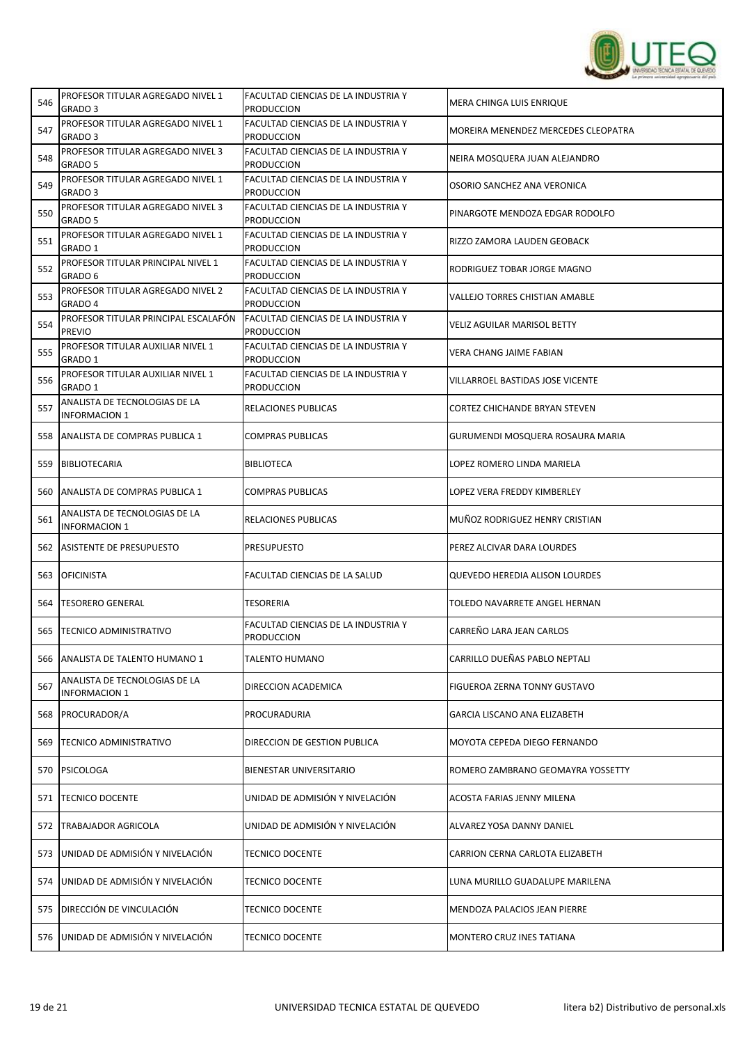

| 546 | PROFESOR TITULAR AGREGADO NIVEL 1<br>GRADO <sub>3</sub> | FACULTAD CIENCIAS DE LA INDUSTRIA Y<br><b>PRODUCCION</b> | <b>MERA CHINGA LUIS ENRIQUE</b>       |
|-----|---------------------------------------------------------|----------------------------------------------------------|---------------------------------------|
| 547 | PROFESOR TITULAR AGREGADO NIVEL 1<br>GRADO <sub>3</sub> | FACULTAD CIENCIAS DE LA INDUSTRIA Y<br><b>PRODUCCION</b> | MOREIRA MENENDEZ MERCEDES CLEOPATRA   |
| 548 | PROFESOR TITULAR AGREGADO NIVEL 3<br>GRADO 5            | FACULTAD CIENCIAS DE LA INDUSTRIA Y<br><b>PRODUCCION</b> | NEIRA MOSQUERA JUAN ALEJANDRO         |
| 549 | PROFESOR TITULAR AGREGADO NIVEL 1<br>GRADO <sub>3</sub> | FACULTAD CIENCIAS DE LA INDUSTRIA Y<br><b>PRODUCCION</b> | OSORIO SANCHEZ ANA VERONICA           |
| 550 | PROFESOR TITULAR AGREGADO NIVEL 3<br>GRADO 5            | FACULTAD CIENCIAS DE LA INDUSTRIA Y<br><b>PRODUCCION</b> | PINARGOTE MENDOZA EDGAR RODOLFO       |
| 551 | PROFESOR TITULAR AGREGADO NIVEL 1<br>GRADO 1            | FACULTAD CIENCIAS DE LA INDUSTRIA Y<br>Produccion        | RIZZO ZAMORA LAUDEN GEOBACK           |
| 552 | PROFESOR TITULAR PRINCIPAL NIVEL 1<br>GRADO 6           | FACULTAD CIENCIAS DE LA INDUSTRIA Y<br><b>PRODUCCION</b> | RODRIGUEZ TOBAR JORGE MAGNO           |
| 553 | PROFESOR TITULAR AGREGADO NIVEL 2<br>GRADO 4            | FACULTAD CIENCIAS DE LA INDUSTRIA Y<br><b>PRODUCCION</b> | VALLEJO TORRES CHISTIAN AMABLE        |
| 554 | PROFESOR TITULAR PRINCIPAL ESCALAFÓN<br><b>PREVIO</b>   | FACULTAD CIENCIAS DE LA INDUSTRIA Y<br><b>PRODUCCION</b> | <b>VELIZ AGUILAR MARISOL BETTY</b>    |
| 555 | PROFESOR TITULAR AUXILIAR NIVEL 1<br>GRADO 1            | FACULTAD CIENCIAS DE LA INDUSTRIA Y<br><b>PRODUCCION</b> | VERA CHANG JAIME FABIAN               |
| 556 | PROFESOR TITULAR AUXILIAR NIVEL 1<br>GRADO 1            | FACULTAD CIENCIAS DE LA INDUSTRIA Y<br><b>PRODUCCION</b> | VILLARROEL BASTIDAS JOSE VICENTE      |
| 557 | ANALISTA DE TECNOLOGIAS DE LA<br><b>INFORMACION 1</b>   | RELACIONES PUBLICAS                                      | <b>CORTEZ CHICHANDE BRYAN STEVEN</b>  |
| 558 | ANALISTA DE COMPRAS PUBLICA 1                           | COMPRAS PUBLICAS                                         | GURUMENDI MOSQUERA ROSAURA MARIA      |
| 559 | <b>BIBLIOTECARIA</b>                                    | <b>BIBLIOTECA</b>                                        | LOPEZ ROMERO LINDA MARIELA            |
| 560 | ANALISTA DE COMPRAS PUBLICA 1                           | COMPRAS PUBLICAS                                         | LOPEZ VERA FREDDY KIMBERLEY           |
| 561 | ANALISTA DE TECNOLOGIAS DE LA<br><b>INFORMACION 1</b>   | RELACIONES PUBLICAS                                      | MUÑOZ RODRIGUEZ HENRY CRISTIAN        |
| 562 | ASISTENTE DE PRESUPUESTO                                | PRESUPUESTO                                              | PEREZ ALCIVAR DARA LOURDES            |
| 563 | <b>OFICINISTA</b>                                       | FACULTAD CIENCIAS DE LA SALUD                            | <b>QUEVEDO HEREDIA ALISON LOURDES</b> |
| 564 | <b>TESORERO GENERAL</b>                                 | <b>TESORERIA</b>                                         | TOLEDO NAVARRETE ANGEL HERNAN         |
| 565 | <b>TECNICO ADMINISTRATIVO</b>                           | FACULTAD CIENCIAS DE LA INDUSTRIA Y<br><b>PRODUCCION</b> | CARREÑO LARA JEAN CARLOS              |
| 566 | ANALISTA DE TALENTO HUMANO 1                            | <b>TALENTO HUMANO</b>                                    | CARRILLO DUEÑAS PABLO NEPTALI         |
| 567 | ANALISTA DE TECNOLOGIAS DE LA<br><b>INFORMACION 1</b>   | DIRECCION ACADEMICA                                      | FIGUEROA ZERNA TONNY GUSTAVO          |
| 568 | <b>PROCURADOR/A</b>                                     | PROCURADURIA                                             | <b>GARCIA LISCANO ANA ELIZABETH</b>   |
| 569 | TECNICO ADMINISTRATIVO                                  | DIRECCION DE GESTION PUBLICA                             | MOYOTA CEPEDA DIEGO FERNANDO          |
| 570 | <b>PSICOLOGA</b>                                        | BIENESTAR UNIVERSITARIO                                  | ROMERO ZAMBRANO GEOMAYRA YOSSETTY     |
| 571 | <b>TECNICO DOCENTE</b>                                  | UNIDAD DE ADMISIÓN Y NIVELACIÓN                          | ACOSTA FARIAS JENNY MILENA            |
| 572 | <b>TRABAJADOR AGRICOLA</b>                              | UNIDAD DE ADMISIÓN Y NIVELACIÓN                          | ALVAREZ YOSA DANNY DANIEL             |
| 573 | UNIDAD DE ADMISIÓN Y NIVELACIÓN                         | <b>TECNICO DOCENTE</b>                                   | CARRION CERNA CARLOTA ELIZABETH       |
| 574 | UNIDAD DE ADMISIÓN Y NIVELACIÓN                         | <b>TECNICO DOCENTE</b>                                   | LUNA MURILLO GUADALUPE MARILENA       |
| 575 | DIRECCIÓN DE VINCULACIÓN                                | <b>TECNICO DOCENTE</b>                                   | MENDOZA PALACIOS JEAN PIERRE          |
|     | 576 UNIDAD DE ADMISIÓN Y NIVELACIÓN                     | <b>TECNICO DOCENTE</b>                                   | MONTERO CRUZ INES TATIANA             |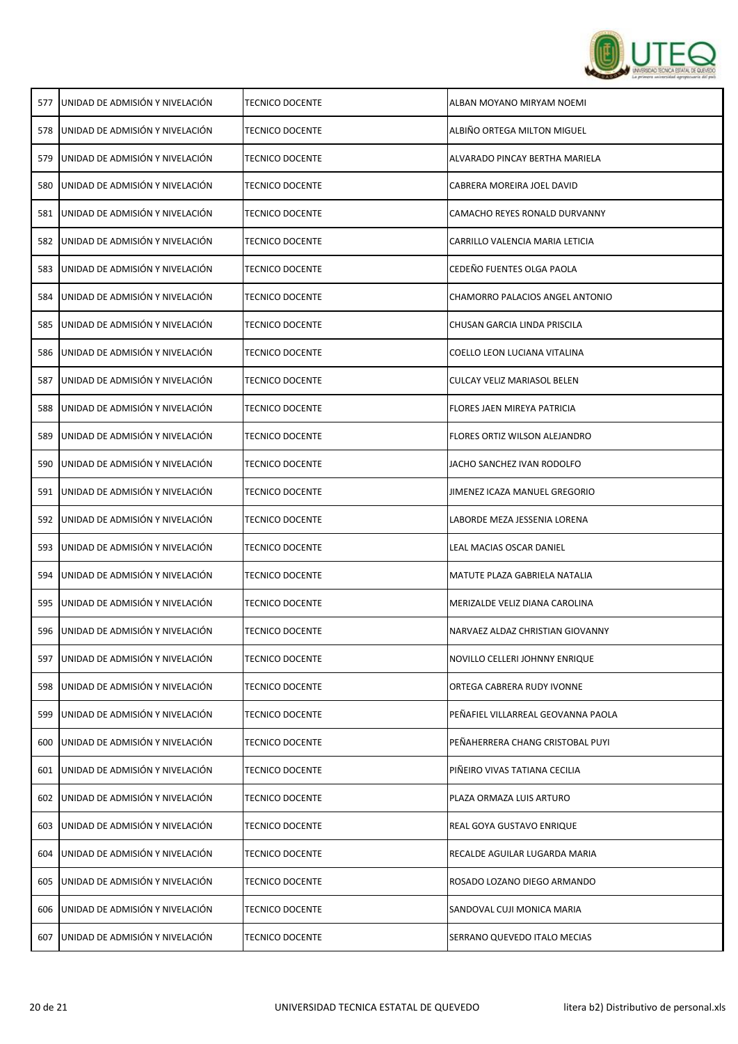

| 577 | UNIDAD DE ADMISIÓN Y NIVELACIÓN | <b>TECNICO DOCENTE</b> | ALBAN MOYANO MIRYAM NOEMI          |
|-----|---------------------------------|------------------------|------------------------------------|
| 578 | UNIDAD DE ADMISIÓN Y NIVELACIÓN | <b>TECNICO DOCENTE</b> | ALBIÑO ORTEGA MILTON MIGUEL        |
| 579 | UNIDAD DE ADMISIÓN Y NIVELACIÓN | <b>TECNICO DOCENTE</b> | ALVARADO PINCAY BERTHA MARIELA     |
| 580 | UNIDAD DE ADMISIÓN Y NIVELACIÓN | <b>TECNICO DOCENTE</b> | CABRERA MOREIRA JOEL DAVID         |
| 581 | UNIDAD DE ADMISIÓN Y NIVELACIÓN | <b>TECNICO DOCENTE</b> | CAMACHO REYES RONALD DURVANNY      |
| 582 | UNIDAD DE ADMISIÓN Y NIVELACIÓN | <b>TECNICO DOCENTE</b> | CARRILLO VALENCIA MARIA LETICIA    |
| 583 | UNIDAD DE ADMISIÓN Y NIVELACIÓN | <b>TECNICO DOCENTE</b> | CEDEÑO FUENTES OLGA PAOLA          |
| 584 | UNIDAD DE ADMISIÓN Y NIVELACIÓN | <b>TECNICO DOCENTE</b> | CHAMORRO PALACIOS ANGEL ANTONIO    |
| 585 | UNIDAD DE ADMISIÓN Y NIVELACIÓN | <b>TECNICO DOCENTE</b> | CHUSAN GARCIA LINDA PRISCILA       |
| 586 | UNIDAD DE ADMISIÓN Y NIVELACIÓN | <b>TECNICO DOCENTE</b> | COELLO LEON LUCIANA VITALINA       |
| 587 | UNIDAD DE ADMISIÓN Y NIVELACIÓN | <b>TECNICO DOCENTE</b> | CULCAY VELIZ MARIASOL BELEN        |
| 588 | UNIDAD DE ADMISIÓN Y NIVELACIÓN | <b>TECNICO DOCENTE</b> | <b>FLORES JAEN MIREYA PATRICIA</b> |
| 589 | UNIDAD DE ADMISIÓN Y NIVELACIÓN | <b>TECNICO DOCENTE</b> | FLORES ORTIZ WILSON ALEJANDRO      |
| 590 | UNIDAD DE ADMISIÓN Y NIVELACIÓN | TECNICO DOCENTE        | JACHO SANCHEZ IVAN RODOLFO         |
| 591 | UNIDAD DE ADMISIÓN Y NIVELACIÓN | <b>TECNICO DOCENTE</b> | JIMENEZ ICAZA MANUEL GREGORIO      |
| 592 | UNIDAD DE ADMISIÓN Y NIVELACIÓN | <b>TECNICO DOCENTE</b> | LABORDE MEZA JESSENIA LORENA       |
| 593 | UNIDAD DE ADMISIÓN Y NIVELACIÓN | <b>TECNICO DOCENTE</b> | LEAL MACIAS OSCAR DANIEL           |
| 594 | UNIDAD DE ADMISIÓN Y NIVELACIÓN | TECNICO DOCENTE        | MATUTE PLAZA GABRIELA NATALIA      |
| 595 | UNIDAD DE ADMISIÓN Y NIVELACIÓN | <b>TECNICO DOCENTE</b> | MERIZALDE VELIZ DIANA CAROLINA     |
| 596 | UNIDAD DE ADMISIÓN Y NIVELACIÓN | TECNICO DOCENTE        | NARVAEZ ALDAZ CHRISTIAN GIOVANNY   |
| 597 | UNIDAD DE ADMISIÓN Y NIVELACIÓN | <b>TECNICO DOCENTE</b> | NOVILLO CELLERI JOHNNY ENRIQUE     |
| 598 | UNIDAD DE ADMISIÓN Y NIVELACIÓN | <b>TECNICO DOCENTE</b> | ORTEGA CABRERA RUDY IVONNE         |
| 599 | UNIDAD DE ADMISIÓN Y NIVELACIÓN | TECNICO DOCENTE        | PEÑAFIEL VILLARREAL GEOVANNA PAOLA |
| 600 | UNIDAD DE ADMISIÓN Y NIVELACIÓN | TECNICO DOCENTE        | PEÑAHERRERA CHANG CRISTOBAL PUYI   |
| 601 | UNIDAD DE ADMISIÓN Y NIVELACIÓN | TECNICO DOCENTE        | PIÑEIRO VIVAS TATIANA CECILIA      |
| 602 | UNIDAD DE ADMISIÓN Y NIVELACIÓN | <b>TECNICO DOCENTE</b> | PLAZA ORMAZA LUIS ARTURO           |
| 603 | UNIDAD DE ADMISIÓN Y NIVELACIÓN | <b>TECNICO DOCENTE</b> | REAL GOYA GUSTAVO ENRIQUE          |
| 604 | UNIDAD DE ADMISIÓN Y NIVELACIÓN | TECNICO DOCENTE        | RECALDE AGUILAR LUGARDA MARIA      |
| 605 | UNIDAD DE ADMISIÓN Y NIVELACIÓN | <b>TECNICO DOCENTE</b> | ROSADO LOZANO DIEGO ARMANDO        |
| 606 | UNIDAD DE ADMISIÓN Y NIVELACIÓN | <b>TECNICO DOCENTE</b> | SANDOVAL CUJI MONICA MARIA         |
| 607 | UNIDAD DE ADMISIÓN Y NIVELACIÓN | <b>TECNICO DOCENTE</b> | SERRANO QUEVEDO ITALO MECIAS       |